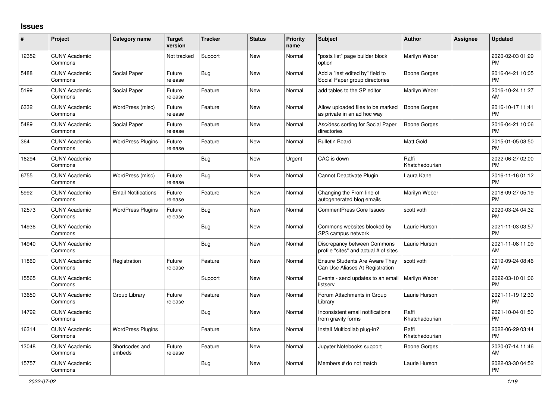## **Issues**

| $\vert$ # | Project                         | Category name              | <b>Target</b><br>version | <b>Tracker</b> | <b>Status</b> | <b>Priority</b><br>name | <b>Subject</b>                                                           | <b>Author</b>           | Assignee | <b>Updated</b>                |
|-----------|---------------------------------|----------------------------|--------------------------|----------------|---------------|-------------------------|--------------------------------------------------------------------------|-------------------------|----------|-------------------------------|
| 12352     | <b>CUNY Academic</b><br>Commons |                            | Not tracked              | Support        | New           | Normal                  | "posts list" page builder block<br>option                                | Marilyn Weber           |          | 2020-02-03 01:29<br><b>PM</b> |
| 5488      | <b>CUNY Academic</b><br>Commons | Social Paper               | Future<br>release        | Bug            | <b>New</b>    | Normal                  | Add a "last edited by" field to<br>Social Paper group directories        | <b>Boone Gorges</b>     |          | 2016-04-21 10:05<br><b>PM</b> |
| 5199      | <b>CUNY Academic</b><br>Commons | Social Paper               | Future<br>release        | Feature        | New           | Normal                  | add tables to the SP editor                                              | Marilyn Weber           |          | 2016-10-24 11:27<br>AM        |
| 6332      | <b>CUNY Academic</b><br>Commons | WordPress (misc)           | Future<br>release        | Feature        | New           | Normal                  | Allow uploaded files to be marked<br>as private in an ad hoc way         | Boone Gorges            |          | 2016-10-17 11:41<br><b>PM</b> |
| 5489      | <b>CUNY Academic</b><br>Commons | Social Paper               | Future<br>release        | Feature        | New           | Normal                  | Asc/desc sorting for Social Paper<br>directories                         | <b>Boone Gorges</b>     |          | 2016-04-21 10:06<br><b>PM</b> |
| 364       | <b>CUNY Academic</b><br>Commons | <b>WordPress Plugins</b>   | Future<br>release        | Feature        | New           | Normal                  | <b>Bulletin Board</b>                                                    | <b>Matt Gold</b>        |          | 2015-01-05 08:50<br><b>PM</b> |
| 16294     | <b>CUNY Academic</b><br>Commons |                            |                          | <b>Bug</b>     | New           | Urgent                  | CAC is down                                                              | Raffi<br>Khatchadourian |          | 2022-06-27 02:00<br><b>PM</b> |
| 6755      | <b>CUNY Academic</b><br>Commons | WordPress (misc)           | Future<br>release        | Bug            | New           | Normal                  | Cannot Deactivate Plugin                                                 | Laura Kane              |          | 2016-11-16 01:12<br><b>PM</b> |
| 5992      | <b>CUNY Academic</b><br>Commons | <b>Email Notifications</b> | Future<br>release        | Feature        | New           | Normal                  | Changing the From line of<br>autogenerated blog emails                   | Marilyn Weber           |          | 2018-09-27 05:19<br><b>PM</b> |
| 12573     | <b>CUNY Academic</b><br>Commons | <b>WordPress Plugins</b>   | Future<br>release        | Bug            | New           | Normal                  | CommentPress Core Issues                                                 | scott voth              |          | 2020-03-24 04:32<br><b>PM</b> |
| 14936     | <b>CUNY Academic</b><br>Commons |                            |                          | Bug            | New           | Normal                  | Commons websites blocked by<br>SPS campus network                        | Laurie Hurson           |          | 2021-11-03 03:57<br><b>PM</b> |
| 14940     | <b>CUNY Academic</b><br>Commons |                            |                          | <b>Bug</b>     | New           | Normal                  | Discrepancy between Commons<br>profile "sites" and actual # of sites     | Laurie Hurson           |          | 2021-11-08 11:09<br>AM        |
| 11860     | <b>CUNY Academic</b><br>Commons | Registration               | Future<br>release        | Feature        | New           | Normal                  | <b>Ensure Students Are Aware They</b><br>Can Use Aliases At Registration | scott voth              |          | 2019-09-24 08:46<br>AM        |
| 15565     | <b>CUNY Academic</b><br>Commons |                            |                          | Support        | New           | Normal                  | Events - send updates to an email<br>listserv                            | Marilyn Weber           |          | 2022-03-10 01:06<br><b>PM</b> |
| 13650     | <b>CUNY Academic</b><br>Commons | Group Library              | Future<br>release        | Feature        | New           | Normal                  | Forum Attachments in Group<br>Library                                    | Laurie Hurson           |          | 2021-11-19 12:30<br><b>PM</b> |
| 14792     | <b>CUNY Academic</b><br>Commons |                            |                          | Bug            | New           | Normal                  | Inconsistent email notifications<br>from gravity forms                   | Raffi<br>Khatchadourian |          | 2021-10-04 01:50<br><b>PM</b> |
| 16314     | <b>CUNY Academic</b><br>Commons | <b>WordPress Plugins</b>   |                          | Feature        | New           | Normal                  | Install Multicollab plug-in?                                             | Raffi<br>Khatchadourian |          | 2022-06-29 03:44<br><b>PM</b> |
| 13048     | <b>CUNY Academic</b><br>Commons | Shortcodes and<br>embeds   | Future<br>release        | Feature        | New           | Normal                  | Jupyter Notebooks support                                                | Boone Gorges            |          | 2020-07-14 11:46<br>AM        |
| 15757     | <b>CUNY Academic</b><br>Commons |                            |                          | Bug            | <b>New</b>    | Normal                  | Members # do not match                                                   | Laurie Hurson           |          | 2022-03-30 04:52<br><b>PM</b> |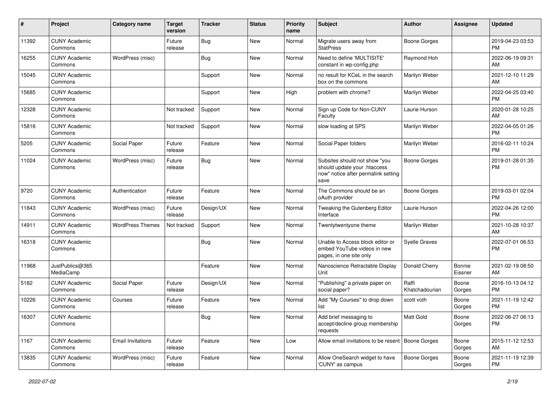| #     | Project                         | <b>Category name</b>     | <b>Target</b><br>version | <b>Tracker</b> | <b>Status</b> | <b>Priority</b><br>name | <b>Subject</b>                                                                                               | <b>Author</b>           | <b>Assignee</b>          | <b>Updated</b>                |
|-------|---------------------------------|--------------------------|--------------------------|----------------|---------------|-------------------------|--------------------------------------------------------------------------------------------------------------|-------------------------|--------------------------|-------------------------------|
| 11392 | <b>CUNY Academic</b><br>Commons |                          | Future<br>release        | Bug            | <b>New</b>    | Normal                  | Migrate users away from<br><b>StatPress</b>                                                                  | <b>Boone Gorges</b>     |                          | 2019-04-23 03:53<br>PM.       |
| 16255 | <b>CUNY Academic</b><br>Commons | WordPress (misc)         |                          | Bug            | New           | Normal                  | Need to define 'MULTISITE'<br>constant in wp-config.php                                                      | Raymond Hoh             |                          | 2022-06-19 09:31<br><b>AM</b> |
| 15045 | <b>CUNY Academic</b><br>Commons |                          |                          | Support        | <b>New</b>    | Normal                  | no result for KCeL in the search<br>box on the commons                                                       | Marilyn Weber           |                          | 2021-12-10 11:29<br>AM.       |
| 15685 | <b>CUNY Academic</b><br>Commons |                          |                          | Support        | <b>New</b>    | High                    | problem with chrome?                                                                                         | Marilyn Weber           |                          | 2022-04-25 03:40<br><b>PM</b> |
| 12328 | <b>CUNY Academic</b><br>Commons |                          | Not tracked              | Support        | <b>New</b>    | Normal                  | Sign up Code for Non-CUNY<br>Faculty                                                                         | Laurie Hurson           |                          | 2020-01-28 10:25<br>AM        |
| 15816 | <b>CUNY Academic</b><br>Commons |                          | Not tracked              | Support        | New           | Normal                  | slow loading at SPS                                                                                          | Marilyn Weber           |                          | 2022-04-05 01:26<br><b>PM</b> |
| 5205  | <b>CUNY Academic</b><br>Commons | Social Paper             | Future<br>release        | Feature        | <b>New</b>    | Normal                  | Social Paper folders                                                                                         | Marilyn Weber           |                          | 2016-02-11 10:24<br><b>PM</b> |
| 11024 | <b>CUNY Academic</b><br>Commons | WordPress (misc)         | Future<br>release        | Bug            | <b>New</b>    | Normal                  | Subsites should not show "you<br>should update your .htaccess<br>now" notice after permalink setting<br>save | <b>Boone Gorges</b>     |                          | 2019-01-28 01:35<br><b>PM</b> |
| 9720  | <b>CUNY Academic</b><br>Commons | Authentication           | Future<br>release        | Feature        | <b>New</b>    | Normal                  | The Commons should be an<br>oAuth provider                                                                   | <b>Boone Gorges</b>     |                          | 2019-03-01 02:04<br><b>PM</b> |
| 11843 | <b>CUNY Academic</b><br>Commons | WordPress (misc)         | Future<br>release        | Design/UX      | <b>New</b>    | Normal                  | Tweaking the Gutenberg Editor<br>Interface                                                                   | Laurie Hurson           |                          | 2022-04-26 12:00<br><b>PM</b> |
| 14911 | <b>CUNY Academic</b><br>Commons | <b>WordPress Themes</b>  | Not tracked              | Support        | <b>New</b>    | Normal                  | Twentytwentyone theme                                                                                        | Marilyn Weber           |                          | 2021-10-28 10:37<br>AM        |
| 16318 | <b>CUNY Academic</b><br>Commons |                          |                          | <b>Bug</b>     | New           | Normal                  | Unable to Access block editor or<br>embed YouTube videos in new<br>pages, in one site only                   | <b>Syelle Graves</b>    |                          | 2022-07-01 06:53<br><b>PM</b> |
| 11968 | JustPublics@365<br>MediaCamp    |                          |                          | Feature        | New           | Normal                  | Nanoscience Retractable Display<br>Unit                                                                      | Donald Cherry           | <b>Bonnie</b><br>Eissner | 2021-02-19 08:50<br>AM        |
| 5182  | <b>CUNY Academic</b><br>Commons | Social Paper             | Future<br>release        | Design/UX      | <b>New</b>    | Normal                  | "Publishing" a private paper on<br>social paper?                                                             | Raffi<br>Khatchadourian | Boone<br>Gorges          | 2016-10-13 04:12<br><b>PM</b> |
| 10226 | <b>CUNY Academic</b><br>Commons | Courses                  | Future<br>release        | Feature        | New           | Normal                  | Add "My Courses" to drop down<br>list                                                                        | scott voth              | Boone<br>Gorges          | 2021-11-19 12:42<br><b>PM</b> |
| 16307 | <b>CUNY Academic</b><br>Commons |                          |                          | Bug            | New           | Normal                  | Add brief messaging to<br>accept/decline group membership<br>requests                                        | Matt Gold               | Boone<br>Gorges          | 2022-06-27 06:13<br><b>PM</b> |
| 1167  | <b>CUNY Academic</b><br>Commons | <b>Email Invitations</b> | Future<br>release        | Feature        | New           | Low                     | Allow email invitations to be resent   Boone Gorges                                                          |                         | Boone<br>Gorges          | 2015-11-12 12:53<br>AM        |
| 13835 | <b>CUNY Academic</b><br>Commons | WordPress (misc)         | Future<br>release        | Feature        | New           | Normal                  | Allow OneSearch widget to have<br>'CUNY' as campus                                                           | <b>Boone Gorges</b>     | Boone<br>Gorges          | 2021-11-19 12:39<br><b>PM</b> |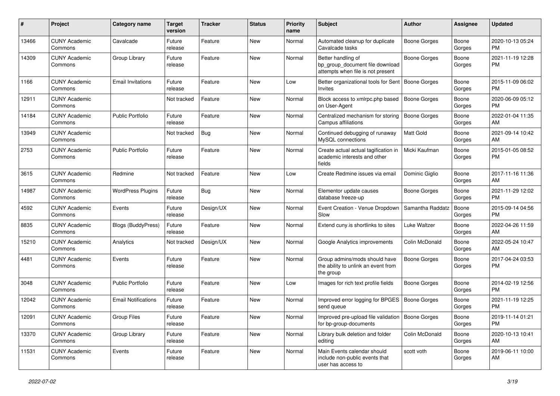| #     | Project                         | <b>Category name</b>       | <b>Target</b><br>version | Tracker   | <b>Status</b> | <b>Priority</b><br>name | <b>Subject</b>                                                                             | <b>Author</b>       | <b>Assignee</b> | <b>Updated</b>                |
|-------|---------------------------------|----------------------------|--------------------------|-----------|---------------|-------------------------|--------------------------------------------------------------------------------------------|---------------------|-----------------|-------------------------------|
| 13466 | <b>CUNY Academic</b><br>Commons | Cavalcade                  | Future<br>release        | Feature   | New           | Normal                  | Automated cleanup for duplicate<br>Cavalcade tasks                                         | <b>Boone Gorges</b> | Boone<br>Gorges | 2020-10-13 05:24<br>PM.       |
| 14309 | <b>CUNY Academic</b><br>Commons | Group Library              | Future<br>release        | Feature   | New           | Normal                  | Better handling of<br>bp group document file download<br>attempts when file is not present | <b>Boone Gorges</b> | Boone<br>Gorges | 2021-11-19 12:28<br><b>PM</b> |
| 1166  | <b>CUNY Academic</b><br>Commons | <b>Email Invitations</b>   | Future<br>release        | Feature   | New           | Low                     | Better organizational tools for Sent   Boone Gorges<br><b>Invites</b>                      |                     | Boone<br>Gorges | 2015-11-09 06:02<br><b>PM</b> |
| 12911 | <b>CUNY Academic</b><br>Commons |                            | Not tracked              | Feature   | New           | Normal                  | Block access to xmlrpc.php based<br>on User-Agent                                          | <b>Boone Gorges</b> | Boone<br>Gorges | 2020-06-09 05:12<br><b>PM</b> |
| 14184 | <b>CUNY Academic</b><br>Commons | Public Portfolio           | Future<br>release        | Feature   | New           | Normal                  | Centralized mechanism for storing<br>Campus affiliations                                   | <b>Boone Gorges</b> | Boone<br>Gorges | 2022-01-04 11:35<br>AM        |
| 13949 | <b>CUNY Academic</b><br>Commons |                            | Not tracked              | Bug       | New           | Normal                  | Continued debugging of runaway<br>MySQL connections                                        | Matt Gold           | Boone<br>Gorges | 2021-09-14 10:42<br>AM        |
| 2753  | <b>CUNY Academic</b><br>Commons | <b>Public Portfolio</b>    | Future<br>release        | Feature   | New           | Normal                  | Create actual actual tagification in<br>academic interests and other<br>fields             | Micki Kaufman       | Boone<br>Gorges | 2015-01-05 08:52<br>PM.       |
| 3615  | <b>CUNY Academic</b><br>Commons | Redmine                    | Not tracked              | Feature   | New           | Low                     | Create Redmine issues via email                                                            | Dominic Giglio      | Boone<br>Gorges | 2017-11-16 11:36<br>AM.       |
| 14987 | <b>CUNY Academic</b><br>Commons | <b>WordPress Plugins</b>   | Future<br>release        | Bug       | <b>New</b>    | Normal                  | Elementor update causes<br>database freeze-up                                              | Boone Gorges        | Boone<br>Gorges | 2021-11-29 12:02<br><b>PM</b> |
| 4592  | <b>CUNY Academic</b><br>Commons | Events                     | Future<br>release        | Design/UX | <b>New</b>    | Normal                  | Event Creation - Venue Dropdown<br>Slow                                                    | Samantha Raddatz    | Boone<br>Gorges | 2015-09-14 04:56<br>PM.       |
| 8835  | <b>CUNY Academic</b><br>Commons | <b>Blogs (BuddyPress)</b>  | Future<br>release        | Feature   | <b>New</b>    | Normal                  | Extend cuny.is shortlinks to sites                                                         | Luke Waltzer        | Boone<br>Gorges | 2022-04-26 11:59<br>AM        |
| 15210 | <b>CUNY Academic</b><br>Commons | Analytics                  | Not tracked              | Design/UX | New           | Normal                  | Google Analytics improvements                                                              | Colin McDonald      | Boone<br>Gorges | 2022-05-24 10:47<br>AM        |
| 4481  | <b>CUNY Academic</b><br>Commons | Events                     | Future<br>release        | Feature   | New           | Normal                  | Group admins/mods should have<br>the ability to unlink an event from<br>the group          | Boone Gorges        | Boone<br>Gorges | 2017-04-24 03:53<br>PM.       |
| 3048  | <b>CUNY Academic</b><br>Commons | <b>Public Portfolio</b>    | Future<br>release        | Feature   | New           | Low                     | Images for rich text profile fields                                                        | Boone Gorges        | Boone<br>Gorges | 2014-02-19 12:56<br>PM.       |
| 12042 | <b>CUNY Academic</b><br>Commons | <b>Email Notifications</b> | Future<br>release        | Feature   | New           | Normal                  | Improved error logging for BPGES<br>send queue                                             | Boone Gorges        | Boone<br>Gorges | 2021-11-19 12:25<br><b>PM</b> |
| 12091 | <b>CUNY Academic</b><br>Commons | Group Files                | Future<br>release        | Feature   | New           | Normal                  | Improved pre-upload file validation   Boone Gorges<br>for bp-group-documents               |                     | Boone<br>Gorges | 2019-11-14 01:21<br>PM.       |
| 13370 | <b>CUNY Academic</b><br>Commons | Group Library              | Future<br>release        | Feature   | New           | Normal                  | Library bulk deletion and folder<br>editing                                                | Colin McDonald      | Boone<br>Gorges | 2020-10-13 10:41<br>AM        |
| 11531 | <b>CUNY Academic</b><br>Commons | Events                     | Future<br>release        | Feature   | New           | Normal                  | Main Events calendar should<br>include non-public events that<br>user has access to        | scott voth          | Boone<br>Gorges | 2019-06-11 10:00<br>AM        |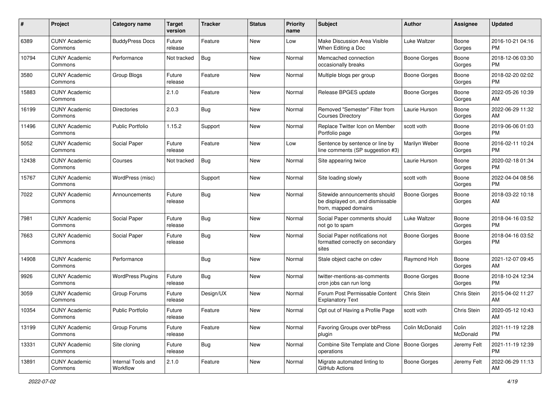| #     | Project                         | <b>Category name</b>           | <b>Target</b><br>version | <b>Tracker</b> | <b>Status</b> | <b>Priority</b><br>name | Subject                                                                                   | Author         | <b>Assignee</b>   | <b>Updated</b>                |
|-------|---------------------------------|--------------------------------|--------------------------|----------------|---------------|-------------------------|-------------------------------------------------------------------------------------------|----------------|-------------------|-------------------------------|
| 6389  | <b>CUNY Academic</b><br>Commons | <b>BuddyPress Docs</b>         | Future<br>release        | Feature        | New           | Low                     | Make Discussion Area Visible<br>When Editing a Doc                                        | Luke Waltzer   | Boone<br>Gorges   | 2016-10-21 04:16<br><b>PM</b> |
| 10794 | <b>CUNY Academic</b><br>Commons | Performance                    | Not tracked              | Bug            | New           | Normal                  | Memcached connection<br>occasionally breaks                                               | Boone Gorges   | Boone<br>Gorges   | 2018-12-06 03:30<br><b>PM</b> |
| 3580  | <b>CUNY Academic</b><br>Commons | Group Blogs                    | Future<br>release        | Feature        | New           | Normal                  | Multiple blogs per group                                                                  | Boone Gorges   | Boone<br>Gorges   | 2018-02-20 02:02<br>PM        |
| 15883 | <b>CUNY Academic</b><br>Commons |                                | 2.1.0                    | Feature        | New           | Normal                  | Release BPGES update                                                                      | Boone Gorges   | Boone<br>Gorges   | 2022-05-26 10:39<br>AM        |
| 16199 | <b>CUNY Academic</b><br>Commons | <b>Directories</b>             | 2.0.3                    | Bug            | New           | Normal                  | Removed "Semester" Filter from<br><b>Courses Directory</b>                                | Laurie Hurson  | Boone<br>Gorges   | 2022-06-29 11:32<br>AM        |
| 11496 | <b>CUNY Academic</b><br>Commons | <b>Public Portfolio</b>        | 1.15.2                   | Support        | New           | Normal                  | Replace Twitter Icon on Member<br>Portfolio page                                          | scott voth     | Boone<br>Gorges   | 2019-06-06 01:03<br><b>PM</b> |
| 5052  | <b>CUNY Academic</b><br>Commons | Social Paper                   | Future<br>release        | Feature        | New           | Low                     | Sentence by sentence or line by<br>line comments (SP suggestion #3)                       | Marilyn Weber  | Boone<br>Gorges   | 2016-02-11 10:24<br><b>PM</b> |
| 12438 | <b>CUNY Academic</b><br>Commons | Courses                        | Not tracked              | Bug            | New           | Normal                  | Site appearing twice                                                                      | Laurie Hurson  | Boone<br>Gorges   | 2020-02-18 01:34<br>PM        |
| 15767 | <b>CUNY Academic</b><br>Commons | WordPress (misc)               |                          | Support        | New           | Normal                  | Site loading slowly                                                                       | scott voth     | Boone<br>Gorges   | 2022-04-04 08:56<br><b>PM</b> |
| 7022  | <b>CUNY Academic</b><br>Commons | Announcements                  | Future<br>release        | Bug            | New           | Normal                  | Sitewide announcements should<br>be displayed on, and dismissable<br>from, mapped domains | Boone Gorges   | Boone<br>Gorges   | 2018-03-22 10:18<br>AM        |
| 7981  | <b>CUNY Academic</b><br>Commons | Social Paper                   | Future<br>release        | <b>Bug</b>     | New           | Normal                  | Social Paper comments should<br>not go to spam                                            | Luke Waltzer   | Boone<br>Gorges   | 2018-04-16 03:52<br><b>PM</b> |
| 7663  | <b>CUNY Academic</b><br>Commons | Social Paper                   | Future<br>release        | Bug            | New           | Normal                  | Social Paper notifications not<br>formatted correctly on secondary<br>sites               | Boone Gorges   | Boone<br>Gorges   | 2018-04-16 03:52<br>PM        |
| 14908 | <b>CUNY Academic</b><br>Commons | Performance                    |                          | Bug            | New           | Normal                  | Stale object cache on cdev                                                                | Raymond Hoh    | Boone<br>Gorges   | 2021-12-07 09:45<br>AM        |
| 9926  | <b>CUNY Academic</b><br>Commons | <b>WordPress Plugins</b>       | Future<br>release        | <b>Bug</b>     | New           | Normal                  | twitter-mentions-as-comments<br>cron jobs can run long                                    | Boone Gorges   | Boone<br>Gorges   | 2018-10-24 12:34<br><b>PM</b> |
| 3059  | <b>CUNY Academic</b><br>Commons | Group Forums                   | Future<br>release        | Design/UX      | New           | Normal                  | Forum Post Permissable Content<br><b>Explanatory Text</b>                                 | Chris Stein    | Chris Stein       | 2015-04-02 11:27<br>AM        |
| 10354 | <b>CUNY Academic</b><br>Commons | <b>Public Portfolio</b>        | Future<br>release        | Feature        | New           | Normal                  | Opt out of Having a Profile Page                                                          | scott voth     | Chris Stein       | 2020-05-12 10:43<br>AM        |
| 13199 | <b>CUNY Academic</b><br>Commons | Group Forums                   | Future<br>release        | Feature        | New           | Normal                  | Favoring Groups over bbPress<br>plugin                                                    | Colin McDonald | Colin<br>McDonald | 2021-11-19 12:28<br>PM        |
| 13331 | <b>CUNY Academic</b><br>Commons | Site cloning                   | Future<br>release        | Bug            | New           | Normal                  | Combine Site Template and Clone   Boone Gorges<br>operations                              |                | Jeremy Felt       | 2021-11-19 12:39<br><b>PM</b> |
| 13891 | <b>CUNY Academic</b><br>Commons | Internal Tools and<br>Workflow | 2.1.0                    | Feature        | New           | Normal                  | Migrate automated linting to<br>GitHub Actions                                            | Boone Gorges   | Jeremy Felt       | 2022-06-29 11:13<br>AM        |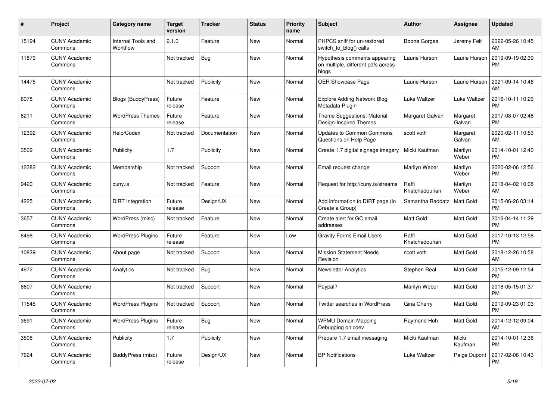| #     | <b>Project</b>                  | Category name                  | <b>Target</b><br>version | <b>Tracker</b> | <b>Status</b> | Priority<br>name | <b>Subject</b>                                                               | <b>Author</b>           | Assignee           | <b>Updated</b>                |
|-------|---------------------------------|--------------------------------|--------------------------|----------------|---------------|------------------|------------------------------------------------------------------------------|-------------------------|--------------------|-------------------------------|
| 15194 | <b>CUNY Academic</b><br>Commons | Internal Tools and<br>Workflow | 2.1.0                    | Feature        | New           | Normal           | PHPCS sniff for un-restored<br>switch_to_blog() calls                        | Boone Gorges            | Jeremy Felt        | 2022-05-26 10:45<br>AM        |
| 11879 | <b>CUNY Academic</b><br>Commons |                                | Not tracked              | Bug            | New           | Normal           | Hypothesis comments appearing<br>on multiple, different pdfs across<br>blogs | Laurie Hurson           | Laurie Hurson      | 2019-09-19 02:39<br><b>PM</b> |
| 14475 | <b>CUNY Academic</b><br>Commons |                                | Not tracked              | Publicity      | <b>New</b>    | Normal           | OER Showcase Page                                                            | Laurie Hurson           | Laurie Hurson      | 2021-09-14 10:46<br>AM        |
| 6078  | <b>CUNY Academic</b><br>Commons | <b>Blogs (BuddyPress)</b>      | Future<br>release        | Feature        | <b>New</b>    | Normal           | <b>Explore Adding Network Blog</b><br>Metadata Plugin                        | Luke Waltzer            | Luke Waltzer       | 2016-10-11 10:29<br><b>PM</b> |
| 8211  | <b>CUNY Academic</b><br>Commons | <b>WordPress Themes</b>        | Future<br>release        | Feature        | New           | Normal           | Theme Suggestions: Material<br>Design-Inspired Themes                        | Margaret Galvan         | Margaret<br>Galvan | 2017-08-07 02:48<br><b>PM</b> |
| 12392 | <b>CUNY Academic</b><br>Commons | Help/Codex                     | Not tracked              | Documentation  | <b>New</b>    | Normal           | <b>Updates to Common Commons</b><br>Questions on Help Page                   | scott voth              | Margaret<br>Galvan | 2020-02-11 10:53<br>AM        |
| 3509  | <b>CUNY Academic</b><br>Commons | Publicity                      | 1.7                      | Publicity      | <b>New</b>    | Normal           | Create 1.7 digital signage imagery                                           | Micki Kaufman           | Marilyn<br>Weber   | 2014-10-01 12:40<br><b>PM</b> |
| 12382 | <b>CUNY Academic</b><br>Commons | Membership                     | Not tracked              | Support        | New           | Normal           | Email request change                                                         | Marilyn Weber           | Marilyn<br>Weber   | 2020-02-06 12:56<br><b>PM</b> |
| 9420  | <b>CUNY Academic</b><br>Commons | cuny.is                        | Not tracked              | Feature        | <b>New</b>    | Normal           | Request for http://cuny.is/streams                                           | Raffi<br>Khatchadourian | Marilyn<br>Weber   | 2018-04-02 10:08<br>AM        |
| 4225  | <b>CUNY Academic</b><br>Commons | <b>DiRT</b> Integration        | Future<br>release        | Design/UX      | <b>New</b>    | Normal           | Add information to DIRT page (in<br>Create a Group)                          | Samantha Raddatz        | Matt Gold          | 2015-06-26 03:14<br><b>PM</b> |
| 3657  | <b>CUNY Academic</b><br>Commons | WordPress (misc)               | Not tracked              | Feature        | New           | Normal           | Create alert for GC email<br>addresses                                       | <b>Matt Gold</b>        | Matt Gold          | 2016-04-14 11:29<br><b>PM</b> |
| 8498  | <b>CUNY Academic</b><br>Commons | <b>WordPress Plugins</b>       | Future<br>release        | Feature        | New           | Low              | <b>Gravity Forms Email Users</b>                                             | Raffi<br>Khatchadourian | Matt Gold          | 2017-10-13 12:58<br><b>PM</b> |
| 10839 | <b>CUNY Academic</b><br>Commons | About page                     | Not tracked              | Support        | <b>New</b>    | Normal           | <b>Mission Statement Needs</b><br>Revision                                   | scott voth              | Matt Gold          | 2018-12-26 10:58<br>AM        |
| 4972  | <b>CUNY Academic</b><br>Commons | Analytics                      | Not tracked              | Bug            | New           | Normal           | <b>Newsletter Analytics</b>                                                  | Stephen Real            | Matt Gold          | 2015-12-09 12:54<br><b>PM</b> |
| 8607  | <b>CUNY Academic</b><br>Commons |                                | Not tracked              | Support        | New           | Normal           | Paypal?                                                                      | Marilyn Weber           | Matt Gold          | 2018-05-15 01:37<br><b>PM</b> |
| 11545 | <b>CUNY Academic</b><br>Commons | <b>WordPress Plugins</b>       | Not tracked              | Support        | <b>New</b>    | Normal           | <b>Twitter searches in WordPress</b>                                         | Gina Cherry             | Matt Gold          | 2019-09-23 01:03<br><b>PM</b> |
| 3691  | <b>CUNY Academic</b><br>Commons | <b>WordPress Plugins</b>       | Future<br>release        | Bug            | <b>New</b>    | Normal           | <b>WPMU Domain Mapping</b><br>Debugging on cdev                              | Raymond Hoh             | Matt Gold          | 2014-12-12 09:04<br>AM        |
| 3506  | <b>CUNY Academic</b><br>Commons | Publicity                      | 1.7                      | Publicity      | New           | Normal           | Prepare 1.7 email messaging                                                  | Micki Kaufman           | Micki<br>Kaufman   | 2014-10-01 12:36<br><b>PM</b> |
| 7624  | <b>CUNY Academic</b><br>Commons | BuddyPress (misc)              | Future<br>release        | Design/UX      | <b>New</b>    | Normal           | <b>BP Notifications</b>                                                      | Luke Waltzer            | Paige Dupont       | 2017-02-08 10:43<br><b>PM</b> |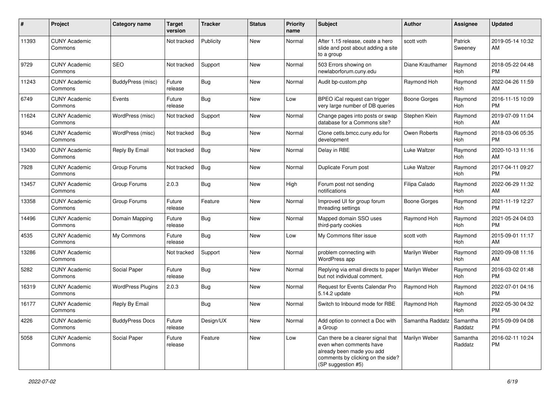| #     | Project                         | Category name            | <b>Target</b><br>version | <b>Tracker</b> | <b>Status</b> | Priority<br>name | <b>Subject</b>                                                                                                                                        | Author                      | <b>Assignee</b>     | <b>Updated</b>                |
|-------|---------------------------------|--------------------------|--------------------------|----------------|---------------|------------------|-------------------------------------------------------------------------------------------------------------------------------------------------------|-----------------------------|---------------------|-------------------------------|
| 11393 | <b>CUNY Academic</b><br>Commons |                          | Not tracked              | Publicity      | <b>New</b>    | Normal           | After 1.15 release, ceate a hero<br>slide and post about adding a site<br>to a group                                                                  | scott voth                  | Patrick<br>Sweeney  | 2019-05-14 10:32<br>AM        |
| 9729  | <b>CUNY Academic</b><br>Commons | <b>SEO</b>               | Not tracked              | Support        | <b>New</b>    | Normal           | 503 Errors showing on<br>newlaborforum.cuny.edu                                                                                                       | Diane Krauthamer            | Raymond<br>Hoh      | 2018-05-22 04:48<br><b>PM</b> |
| 11243 | <b>CUNY Academic</b><br>Commons | BuddyPress (misc)        | Future<br>release        | Bug            | New           | Normal           | Audit bp-custom.php                                                                                                                                   | Raymond Hoh                 | Raymond<br>Hoh      | 2022-04-26 11:59<br>AM        |
| 6749  | <b>CUNY Academic</b><br>Commons | Events                   | Future<br>release        | Bug            | <b>New</b>    | Low              | BPEO iCal request can trigger<br>very large number of DB queries                                                                                      | <b>Boone Gorges</b>         | Raymond<br>Hoh      | 2016-11-15 10:09<br><b>PM</b> |
| 11624 | <b>CUNY Academic</b><br>Commons | WordPress (misc)         | Not tracked              | Support        | <b>New</b>    | Normal           | Change pages into posts or swap<br>database for a Commons site?                                                                                       | Stephen Klein               | Raymond<br>Hoh      | 2019-07-09 11:04<br>AM        |
| 9346  | <b>CUNY Academic</b><br>Commons | WordPress (misc)         | Not tracked              | Bug            | <b>New</b>    | Normal           | Clone cetls.bmcc.cuny.edu for<br>development                                                                                                          | Owen Roberts                | Raymond<br>Hoh      | 2018-03-06 05:35<br><b>PM</b> |
| 13430 | <b>CUNY Academic</b><br>Commons | Reply By Email           | Not tracked              | Bug            | New           | Normal           | Delay in RBE                                                                                                                                          | Luke Waltzer                | Raymond<br>Hoh      | 2020-10-13 11:16<br>AM        |
| 7928  | <b>CUNY Academic</b><br>Commons | Group Forums             | Not tracked              | Bug            | <b>New</b>    | Normal           | Duplicate Forum post                                                                                                                                  | Luke Waltzer                | Raymond<br>Hoh      | 2017-04-11 09:27<br><b>PM</b> |
| 13457 | <b>CUNY Academic</b><br>Commons | Group Forums             | 2.0.3                    | Bug            | <b>New</b>    | High             | Forum post not sending<br>notifications                                                                                                               | Filipa Calado               | Raymond<br>Hoh      | 2022-06-29 11:32<br>AM        |
| 13358 | <b>CUNY Academic</b><br>Commons | Group Forums             | Future<br>release        | Feature        | New           | Normal           | Improved UI for group forum<br>threading settings                                                                                                     | <b>Boone Gorges</b>         | Raymond<br>Hoh      | 2021-11-19 12:27<br><b>PM</b> |
| 14496 | <b>CUNY Academic</b><br>Commons | Domain Mapping           | Future<br>release        | Bug            | New           | Normal           | Mapped domain SSO uses<br>third-party cookies                                                                                                         | Raymond Hoh                 | Raymond<br>Hoh      | 2021-05-24 04:03<br><b>PM</b> |
| 4535  | <b>CUNY Academic</b><br>Commons | My Commons               | Future<br>release        | Bug            | <b>New</b>    | Low              | My Commons filter issue                                                                                                                               | scott voth                  | Raymond<br>Hoh      | 2015-09-01 11:17<br>AM        |
| 13286 | <b>CUNY Academic</b><br>Commons |                          | Not tracked              | Support        | <b>New</b>    | Normal           | problem connecting with<br>WordPress app                                                                                                              | Marilyn Weber               | Raymond<br>Hoh      | 2020-09-08 11:16<br>AM        |
| 5282  | <b>CUNY Academic</b><br>Commons | Social Paper             | Future<br>release        | <b>Bug</b>     | New           | Normal           | Replying via email directs to paper<br>but not individual comment.                                                                                    | Marilyn Weber               | Raymond<br>Hoh      | 2016-03-02 01:48<br><b>PM</b> |
| 16319 | <b>CUNY Academic</b><br>Commons | <b>WordPress Plugins</b> | 2.0.3                    | <b>Bug</b>     | New           | Normal           | Request for Events Calendar Pro<br>5.14.2 update                                                                                                      | Raymond Hoh                 | Raymond<br>Hoh      | 2022-07-01 04:16<br><b>PM</b> |
| 16177 | <b>CUNY Academic</b><br>Commons | Reply By Email           |                          | Bug            | <b>New</b>    | Normal           | Switch to Inbound mode for RBE                                                                                                                        | Raymond Hoh                 | Raymond<br>Hoh      | 2022-05-30 04:32<br><b>PM</b> |
| 4226  | <b>CUNY Academic</b><br>Commons | <b>BuddyPress Docs</b>   | Future<br>release        | Design/UX      | New           | Normal           | Add option to connect a Doc with<br>a Group                                                                                                           | Samantha Raddatz   Samantha | Raddatz             | 2015-09-09 04:08<br><b>PM</b> |
| 5058  | <b>CUNY Academic</b><br>Commons | Social Paper             | Future<br>release        | Feature        | New           | Low              | Can there be a clearer signal that<br>even when comments have<br>already been made you add<br>comments by clicking on the side?<br>(SP suggestion #5) | Marilyn Weber               | Samantha<br>Raddatz | 2016-02-11 10:24<br><b>PM</b> |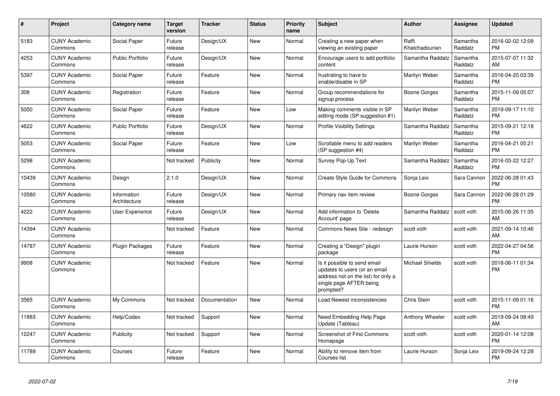| #     | <b>Project</b>                  | Category name               | <b>Target</b><br>version | <b>Tracker</b> | <b>Status</b> | <b>Priority</b><br>name | <b>Subject</b>                                                                                                                               | <b>Author</b>           | Assignee            | <b>Updated</b>                |
|-------|---------------------------------|-----------------------------|--------------------------|----------------|---------------|-------------------------|----------------------------------------------------------------------------------------------------------------------------------------------|-------------------------|---------------------|-------------------------------|
| 5183  | <b>CUNY Academic</b><br>Commons | Social Paper                | Future<br>release        | Design/UX      | <b>New</b>    | Normal                  | Creating a new paper when<br>viewing an existing paper                                                                                       | Raffi<br>Khatchadourian | Samantha<br>Raddatz | 2016-02-02 12:09<br><b>PM</b> |
| 4253  | <b>CUNY Academic</b><br>Commons | Public Portfolio            | Future<br>release        | Design/UX      | <b>New</b>    | Normal                  | Encourage users to add portfolio<br>content                                                                                                  | Samantha Raddatz        | Samantha<br>Raddatz | 2015-07-07 11:32<br>AM        |
| 5397  | <b>CUNY Academic</b><br>Commons | Social Paper                | Future<br>release        | Feature        | <b>New</b>    | Normal                  | frustrating to have to<br>enable/disable in SP                                                                                               | Marilyn Weber           | Samantha<br>Raddatz | 2016-04-20 03:39<br><b>PM</b> |
| 308   | <b>CUNY Academic</b><br>Commons | Registration                | Future<br>release        | Feature        | <b>New</b>    | Normal                  | Group recommendations for<br>signup process                                                                                                  | Boone Gorges            | Samantha<br>Raddatz | 2015-11-09 05:07<br><b>PM</b> |
| 5050  | <b>CUNY Academic</b><br>Commons | Social Paper                | Future<br>release        | Feature        | New           | Low                     | Making comments visible in SP<br>editing mode (SP suggestion #1)                                                                             | Marilyn Weber           | Samantha<br>Raddatz | 2019-09-17 11:10<br><b>PM</b> |
| 4622  | <b>CUNY Academic</b><br>Commons | Public Portfolio            | Future<br>release        | Design/UX      | New           | Normal                  | <b>Profile Visibility Settings</b>                                                                                                           | Samantha Raddatz        | Samantha<br>Raddatz | 2015-09-21 12:18<br><b>PM</b> |
| 5053  | <b>CUNY Academic</b><br>Commons | Social Paper                | Future<br>release        | Feature        | New           | Low                     | Scrollable menu to add readers<br>(SP suggestion #4)                                                                                         | Marilyn Weber           | Samantha<br>Raddatz | 2016-04-21 05:21<br><b>PM</b> |
| 5298  | <b>CUNY Academic</b><br>Commons |                             | Not tracked              | Publicity      | <b>New</b>    | Normal                  | Survey Pop-Up Text                                                                                                                           | Samantha Raddatz        | Samantha<br>Raddatz | 2016-03-22 12:27<br><b>PM</b> |
| 10439 | <b>CUNY Academic</b><br>Commons | Design                      | 2.1.0                    | Design/UX      | <b>New</b>    | Normal                  | Create Style Guide for Commons                                                                                                               | Sonja Leix              | Sara Cannon         | 2022-06-28 01:43<br><b>PM</b> |
| 10580 | <b>CUNY Academic</b><br>Commons | Information<br>Architecture | Future<br>release        | Design/UX      | <b>New</b>    | Normal                  | Primary nav item review                                                                                                                      | Boone Gorges            | Sara Cannon         | 2022-06-28 01:29<br><b>PM</b> |
| 4222  | <b>CUNY Academic</b><br>Commons | User Experience             | Future<br>release        | Design/UX      | New           | Normal                  | Add information to 'Delete<br>Account' page                                                                                                  | Samantha Raddatz        | scott voth          | 2015-06-26 11:35<br>AM        |
| 14394 | <b>CUNY Academic</b><br>Commons |                             | Not tracked              | Feature        | New           | Normal                  | Commons News Site - redesign                                                                                                                 | scott voth              | scott voth          | 2021-09-14 10:46<br>AM        |
| 14787 | <b>CUNY Academic</b><br>Commons | Plugin Packages             | Future<br>release        | Feature        | New           | Normal                  | Creating a "Design" plugin<br>package                                                                                                        | Laurie Hurson           | scott voth          | 2022-04-27 04:56<br><b>PM</b> |
| 9908  | <b>CUNY Academic</b><br>Commons |                             | Not tracked              | Feature        | <b>New</b>    | Normal                  | Is it possible to send email<br>updates to users (or an email<br>address not on the list) for only a<br>single page AFTER being<br>prompted? | Michael Shields         | scott voth          | 2018-06-11 01:34<br><b>PM</b> |
| 3565  | <b>CUNY Academic</b><br>Commons | My Commons                  | Not tracked              | Documentation  | New           | Normal                  | Load Newest inconsistencies                                                                                                                  | Chris Stein             | scott voth          | 2015-11-09 01:16<br><b>PM</b> |
| 11883 | <b>CUNY Academic</b><br>Commons | Help/Codex                  | Not tracked              | Support        | New           | Normal                  | Need Embedding Help Page<br>Update (Tableau)                                                                                                 | Anthony Wheeler         | scott voth          | 2019-09-24 08:49<br>AM        |
| 12247 | <b>CUNY Academic</b><br>Commons | Publicity                   | Not tracked              | Support        | <b>New</b>    | Normal                  | <b>Screenshot of First Commons</b><br>Homepage                                                                                               | scott voth              | scott voth          | 2020-01-14 12:08<br><b>PM</b> |
| 11789 | <b>CUNY Academic</b><br>Commons | Courses                     | Future<br>release        | Feature        | <b>New</b>    | Normal                  | Ability to remove item from<br>Courses list                                                                                                  | Laurie Hurson           | Sonja Leix          | 2019-09-24 12:28<br><b>PM</b> |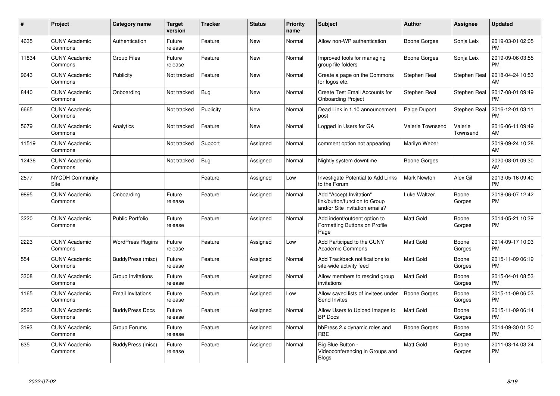| $\#$  | Project                               | <b>Category name</b>     | <b>Target</b><br>version | <b>Tracker</b> | <b>Status</b> | <b>Priority</b><br>name | <b>Subject</b>                                                                             | <b>Author</b>           | Assignee            | <b>Updated</b>                |
|-------|---------------------------------------|--------------------------|--------------------------|----------------|---------------|-------------------------|--------------------------------------------------------------------------------------------|-------------------------|---------------------|-------------------------------|
| 4635  | <b>CUNY Academic</b><br>Commons       | Authentication           | Future<br>release        | Feature        | <b>New</b>    | Normal                  | Allow non-WP authentication                                                                | Boone Gorges            | Sonja Leix          | 2019-03-01 02:05<br><b>PM</b> |
| 11834 | <b>CUNY Academic</b><br>Commons       | <b>Group Files</b>       | Future<br>release        | Feature        | <b>New</b>    | Normal                  | Improved tools for managing<br>group file folders                                          | Boone Gorges            | Sonja Leix          | 2019-09-06 03:55<br><b>PM</b> |
| 9643  | <b>CUNY Academic</b><br>Commons       | Publicity                | Not tracked              | Feature        | <b>New</b>    | Normal                  | Create a page on the Commons<br>for logos etc.                                             | Stephen Real            | Stephen Real        | 2018-04-24 10:53<br>AM        |
| 8440  | <b>CUNY Academic</b><br>Commons       | Onboarding               | Not tracked              | <b>Bug</b>     | <b>New</b>    | Normal                  | Create Test Email Accounts for<br><b>Onboarding Project</b>                                | Stephen Real            | Stephen Real        | 2017-08-01 09:49<br><b>PM</b> |
| 6665  | <b>CUNY Academic</b><br>Commons       |                          | Not tracked              | Publicity      | New           | Normal                  | Dead Link in 1.10 announcement<br>post                                                     | Paige Dupont            | Stephen Real        | 2016-12-01 03:11<br><b>PM</b> |
| 5679  | <b>CUNY Academic</b><br>Commons       | Analytics                | Not tracked              | Feature        | New           | Normal                  | Logged In Users for GA                                                                     | <b>Valerie Townsend</b> | Valerie<br>Townsend | 2016-06-11 09:49<br>AM        |
| 11519 | <b>CUNY Academic</b><br>Commons       |                          | Not tracked              | Support        | Assigned      | Normal                  | comment option not appearing                                                               | Marilyn Weber           |                     | 2019-09-24 10:28<br>AM        |
| 12436 | <b>CUNY Academic</b><br>Commons       |                          | Not tracked              | <b>Bug</b>     | Assigned      | Normal                  | Nightly system downtime                                                                    | <b>Boone Gorges</b>     |                     | 2020-08-01 09:30<br>AM        |
| 2577  | <b>NYCDH Community</b><br><b>Site</b> |                          |                          | Feature        | Assigned      | Low                     | Investigate Potential to Add Links<br>to the Forum                                         | <b>Mark Newton</b>      | Alex Gil            | 2013-05-16 09:40<br><b>PM</b> |
| 9895  | <b>CUNY Academic</b><br>Commons       | Onboarding               | Future<br>release        | Feature        | Assigned      | Normal                  | Add "Accept Invitation"<br>link/button/function to Group<br>and/or Site invitation emails? | Luke Waltzer            | Boone<br>Gorges     | 2018-06-07 12:42<br><b>PM</b> |
| 3220  | <b>CUNY Academic</b><br>Commons       | <b>Public Portfolio</b>  | Future<br>release        | Feature        | Assigned      | Normal                  | Add indent/outdent option to<br>Formatting Buttons on Profile<br>Page                      | <b>Matt Gold</b>        | Boone<br>Gorges     | 2014-05-21 10:39<br><b>PM</b> |
| 2223  | <b>CUNY Academic</b><br>Commons       | <b>WordPress Plugins</b> | Future<br>release        | Feature        | Assigned      | Low                     | Add Participad to the CUNY<br><b>Academic Commons</b>                                      | <b>Matt Gold</b>        | Boone<br>Gorges     | 2014-09-17 10:03<br><b>PM</b> |
| 554   | <b>CUNY Academic</b><br>Commons       | BuddyPress (misc)        | Future<br>release        | Feature        | Assigned      | Normal                  | Add Trackback notifications to<br>site-wide activity feed                                  | Matt Gold               | Boone<br>Gorges     | 2015-11-09 06:19<br><b>PM</b> |
| 3308  | <b>CUNY Academic</b><br>Commons       | Group Invitations        | Future<br>release        | Feature        | Assigned      | Normal                  | Allow members to rescind group<br>invitations                                              | Matt Gold               | Boone<br>Gorges     | 2015-04-01 08:53<br><b>PM</b> |
| 1165  | <b>CUNY Academic</b><br>Commons       | <b>Email Invitations</b> | Future<br>release        | Feature        | Assigned      | Low                     | Allow saved lists of invitees under<br>Send Invites                                        | <b>Boone Gorges</b>     | Boone<br>Gorges     | 2015-11-09 06:03<br><b>PM</b> |
| 2523  | <b>CUNY Academic</b><br>Commons       | <b>BuddyPress Docs</b>   | Future<br>release        | Feature        | Assigned      | Normal                  | Allow Users to Upload Images to<br><b>BP</b> Docs                                          | Matt Gold               | Boone<br>Gorges     | 2015-11-09 06:14<br><b>PM</b> |
| 3193  | <b>CUNY Academic</b><br>Commons       | Group Forums             | Future<br>release        | Feature        | Assigned      | Normal                  | bbPress 2.x dynamic roles and<br><b>RBE</b>                                                | <b>Boone Gorges</b>     | Boone<br>Gorges     | 2014-09-30 01:30<br><b>PM</b> |
| 635   | <b>CUNY Academic</b><br>Commons       | BuddyPress (misc)        | Future<br>release        | Feature        | Assigned      | Normal                  | Big Blue Button -<br>Videoconferencing in Groups and<br><b>Blogs</b>                       | <b>Matt Gold</b>        | Boone<br>Gorges     | 2011-03-14 03:24<br><b>PM</b> |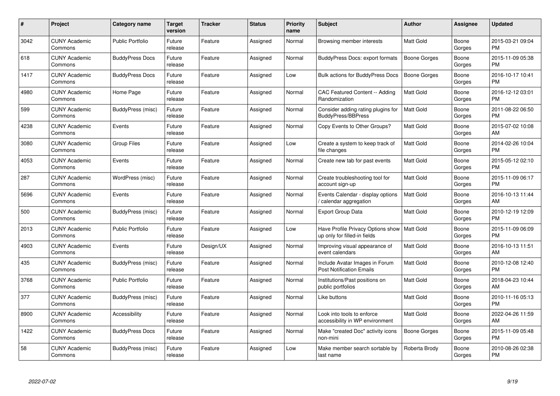| $\pmb{\#}$ | Project                         | <b>Category name</b>    | <b>Target</b><br>version | <b>Tracker</b> | <b>Status</b> | <b>Priority</b><br>name | <b>Subject</b>                                                                | <b>Author</b>       | <b>Assignee</b> | <b>Updated</b>                |
|------------|---------------------------------|-------------------------|--------------------------|----------------|---------------|-------------------------|-------------------------------------------------------------------------------|---------------------|-----------------|-------------------------------|
| 3042       | <b>CUNY Academic</b><br>Commons | <b>Public Portfolio</b> | Future<br>release        | Feature        | Assigned      | Normal                  | Browsing member interests                                                     | <b>Matt Gold</b>    | Boone<br>Gorges | 2015-03-21 09:04<br><b>PM</b> |
| 618        | <b>CUNY Academic</b><br>Commons | <b>BuddyPress Docs</b>  | Future<br>release        | Feature        | Assigned      | Normal                  | <b>BuddyPress Docs: export formats</b>                                        | <b>Boone Gorges</b> | Boone<br>Gorges | 2015-11-09 05:38<br><b>PM</b> |
| 1417       | <b>CUNY Academic</b><br>Commons | <b>BuddyPress Docs</b>  | Future<br>release        | Feature        | Assigned      | Low                     | Bulk actions for BuddyPress Docs                                              | Boone Gorges        | Boone<br>Gorges | 2016-10-17 10:41<br><b>PM</b> |
| 4980       | <b>CUNY Academic</b><br>Commons | Home Page               | Future<br>release        | Feature        | Assigned      | Normal                  | <b>CAC Featured Content -- Adding</b><br>Randomization                        | Matt Gold           | Boone<br>Gorges | 2016-12-12 03:01<br><b>PM</b> |
| 599        | <b>CUNY Academic</b><br>Commons | BuddyPress (misc)       | Future<br>release        | Feature        | Assigned      | Normal                  | Consider adding rating plugins for<br><b>BuddyPress/BBPress</b>               | <b>Matt Gold</b>    | Boone<br>Gorges | 2011-08-22 06:50<br><b>PM</b> |
| 4238       | <b>CUNY Academic</b><br>Commons | Events                  | Future<br>release        | Feature        | Assigned      | Normal                  | Copy Events to Other Groups?                                                  | Matt Gold           | Boone<br>Gorges | 2015-07-02 10:08<br>AM        |
| 3080       | <b>CUNY Academic</b><br>Commons | <b>Group Files</b>      | Future<br>release        | Feature        | Assigned      | Low                     | Create a system to keep track of<br>file changes                              | <b>Matt Gold</b>    | Boone<br>Gorges | 2014-02-26 10:04<br><b>PM</b> |
| 4053       | <b>CUNY Academic</b><br>Commons | Events                  | Future<br>release        | Feature        | Assigned      | Normal                  | Create new tab for past events                                                | Matt Gold           | Boone<br>Gorges | 2015-05-12 02:10<br><b>PM</b> |
| 287        | <b>CUNY Academic</b><br>Commons | WordPress (misc)        | Future<br>release        | Feature        | Assigned      | Normal                  | Create troubleshooting tool for<br>account sign-up                            | Matt Gold           | Boone<br>Gorges | 2015-11-09 06:17<br><b>PM</b> |
| 5696       | <b>CUNY Academic</b><br>Commons | Events                  | Future<br>release        | Feature        | Assigned      | Normal                  | Events Calendar - display options<br>calendar aggregation                     | <b>Matt Gold</b>    | Boone<br>Gorges | 2016-10-13 11:44<br>AM        |
| 500        | <b>CUNY Academic</b><br>Commons | BuddyPress (misc)       | Future<br>release        | Feature        | Assigned      | Normal                  | <b>Export Group Data</b>                                                      | <b>Matt Gold</b>    | Boone<br>Gorges | 2010-12-19 12:09<br><b>PM</b> |
| 2013       | <b>CUNY Academic</b><br>Commons | <b>Public Portfolio</b> | Future<br>release        | Feature        | Assigned      | Low                     | Have Profile Privacy Options show   Matt Gold<br>up only for filled-in fields |                     | Boone<br>Gorges | 2015-11-09 06:09<br><b>PM</b> |
| 4903       | <b>CUNY Academic</b><br>Commons | Events                  | Future<br>release        | Design/UX      | Assigned      | Normal                  | Improving visual appearance of<br>event calendars                             | <b>Matt Gold</b>    | Boone<br>Gorges | 2016-10-13 11:51<br>AM        |
| 435        | <b>CUNY Academic</b><br>Commons | BuddyPress (misc)       | Future<br>release        | Feature        | Assigned      | Normal                  | Include Avatar Images in Forum<br><b>Post Notification Emails</b>             | <b>Matt Gold</b>    | Boone<br>Gorges | 2010-12-08 12:40<br><b>PM</b> |
| 3768       | <b>CUNY Academic</b><br>Commons | Public Portfolio        | Future<br>release        | Feature        | Assigned      | Normal                  | Institutions/Past positions on<br>public portfolios                           | Matt Gold           | Boone<br>Gorges | 2018-04-23 10:44<br>AM        |
| 377        | <b>CUNY Academic</b><br>Commons | BuddyPress (misc)       | Future<br>release        | Feature        | Assigned      | Normal                  | Like buttons                                                                  | <b>Matt Gold</b>    | Boone<br>Gorges | 2010-11-16 05:13<br><b>PM</b> |
| 8900       | <b>CUNY Academic</b><br>Commons | Accessibility           | Future<br>release        | Feature        | Assigned      | Normal                  | Look into tools to enforce<br>accessibility in WP environment                 | Matt Gold           | Boone<br>Gorges | 2022-04-26 11:59<br>AM        |
| 1422       | <b>CUNY Academic</b><br>Commons | <b>BuddyPress Docs</b>  | Future<br>release        | Feature        | Assigned      | Normal                  | Make "created Doc" activity icons<br>non-mini                                 | Boone Gorges        | Boone<br>Gorges | 2015-11-09 05:48<br><b>PM</b> |
| 58         | CUNY Academic<br>Commons        | BuddyPress (misc)       | Future<br>release        | Feature        | Assigned      | Low                     | Make member search sortable by<br>last name                                   | Roberta Brody       | Boone<br>Gorges | 2010-08-26 02:38<br>PM        |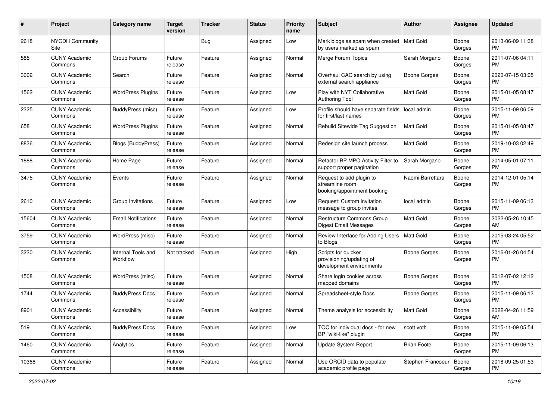| #     | Project                         | <b>Category name</b>           | <b>Target</b><br>version | <b>Tracker</b> | <b>Status</b> | <b>Priority</b><br>name | <b>Subject</b>                                                              | Author              | <b>Assignee</b> | <b>Updated</b>                |
|-------|---------------------------------|--------------------------------|--------------------------|----------------|---------------|-------------------------|-----------------------------------------------------------------------------|---------------------|-----------------|-------------------------------|
| 2618  | <b>NYCDH Community</b><br>Site  |                                |                          | Bug            | Assigned      | Low                     | Mark blogs as spam when created<br>by users marked as spam                  | Matt Gold           | Boone<br>Gorges | 2013-06-09 11:38<br>PM.       |
| 585   | <b>CUNY Academic</b><br>Commons | Group Forums                   | Future<br>release        | Feature        | Assigned      | Normal                  | Merge Forum Topics                                                          | Sarah Morgano       | Boone<br>Gorges | 2011-07-06 04:11<br><b>PM</b> |
| 3002  | <b>CUNY Academic</b><br>Commons | Search                         | Future<br>release        | Feature        | Assigned      | Normal                  | Overhaul CAC search by using<br>external search appliance                   | Boone Gorges        | Boone<br>Gorges | 2020-07-15 03:05<br><b>PM</b> |
| 1562  | <b>CUNY Academic</b><br>Commons | <b>WordPress Plugins</b>       | Future<br>release        | Feature        | Assigned      | Low                     | Play with NYT Collaborative<br><b>Authoring Tool</b>                        | <b>Matt Gold</b>    | Boone<br>Gorges | 2015-01-05 08:47<br><b>PM</b> |
| 2325  | <b>CUNY Academic</b><br>Commons | <b>BuddyPress (misc)</b>       | Future<br>release        | Feature        | Assigned      | Low                     | Profile should have separate fields<br>for first/last names                 | local admin         | Boone<br>Gorges | 2015-11-09 06:09<br><b>PM</b> |
| 658   | <b>CUNY Academic</b><br>Commons | <b>WordPress Plugins</b>       | Future<br>release        | Feature        | Assigned      | Normal                  | Rebulid Sitewide Tag Suggestion                                             | <b>Matt Gold</b>    | Boone<br>Gorges | 2015-01-05 08:47<br><b>PM</b> |
| 8836  | <b>CUNY Academic</b><br>Commons | Blogs (BuddyPress)             | Future<br>release        | Feature        | Assigned      | Normal                  | Redesign site launch process                                                | Matt Gold           | Boone<br>Gorges | 2019-10-03 02:49<br><b>PM</b> |
| 1888  | <b>CUNY Academic</b><br>Commons | Home Page                      | Future<br>release        | Feature        | Assigned      | Normal                  | Refactor BP MPO Activity Filter to<br>support proper pagination             | Sarah Morgano       | Boone<br>Gorges | 2014-05-01 07:11<br>PM.       |
| 3475  | <b>CUNY Academic</b><br>Commons | Events                         | Future<br>release        | Feature        | Assigned      | Normal                  | Request to add plugin to<br>streamline room<br>booking/appointment booking  | Naomi Barrettara    | Boone<br>Gorges | 2014-12-01 05:14<br><b>PM</b> |
| 2610  | <b>CUNY Academic</b><br>Commons | Group Invitations              | Future<br>release        | Feature        | Assigned      | Low                     | Request: Custom invitation<br>message to group invites                      | local admin         | Boone<br>Gorges | 2015-11-09 06:13<br><b>PM</b> |
| 15604 | <b>CUNY Academic</b><br>Commons | <b>Email Notifications</b>     | Future<br>release        | Feature        | Assigned      | Normal                  | Restructure Commons Group<br><b>Digest Email Messages</b>                   | Matt Gold           | Boone<br>Gorges | 2022-05-26 10:45<br>AM        |
| 3759  | <b>CUNY Academic</b><br>Commons | WordPress (misc)               | Future<br>release        | Feature        | Assigned      | Normal                  | Review Interface for Adding Users<br>to Blogs                               | <b>Matt Gold</b>    | Boone<br>Gorges | 2015-03-24 05:52<br><b>PM</b> |
| 3230  | <b>CUNY Academic</b><br>Commons | Internal Tools and<br>Workflow | Not tracked              | Feature        | Assigned      | High                    | Scripts for quicker<br>provisioning/updating of<br>development environments | Boone Gorges        | Boone<br>Gorges | 2016-01-26 04:54<br><b>PM</b> |
| 1508  | <b>CUNY Academic</b><br>Commons | WordPress (misc)               | Future<br>release        | Feature        | Assigned      | Normal                  | Share login cookies across<br>mapped domains                                | Boone Gorges        | Boone<br>Gorges | 2012-07-02 12:12<br>PM.       |
| 1744  | <b>CUNY Academic</b><br>Commons | <b>BuddyPress Docs</b>         | Future<br>release        | Feature        | Assigned      | Normal                  | Spreadsheet-style Docs                                                      | <b>Boone Gorges</b> | Boone<br>Gorges | 2015-11-09 06:13<br><b>PM</b> |
| 8901  | <b>CUNY Academic</b><br>Commons | Accessibility                  | Future<br>release        | Feature        | Assigned      | Normal                  | Theme analysis for accessibility                                            | Matt Gold           | Boone<br>Gorges | 2022-04-26 11:59<br>AM        |
| 519   | <b>CUNY Academic</b><br>Commons | <b>BuddyPress Docs</b>         | Future<br>release        | Feature        | Assigned      | Low                     | TOC for individual docs - for new<br>BP "wiki-like" plugin                  | scott voth          | Boone<br>Gorges | 2015-11-09 05:54<br><b>PM</b> |
| 1460  | <b>CUNY Academic</b><br>Commons | Analytics                      | Future<br>release        | Feature        | Assigned      | Normal                  | Update System Report                                                        | <b>Brian Foote</b>  | Boone<br>Gorges | 2015-11-09 06:13<br><b>PM</b> |
| 10368 | <b>CUNY Academic</b><br>Commons |                                | Future<br>release        | Feature        | Assigned      | Normal                  | Use ORCID data to populate<br>academic profile page                         | Stephen Francoeur   | Boone<br>Gorges | 2018-09-25 01:53<br><b>PM</b> |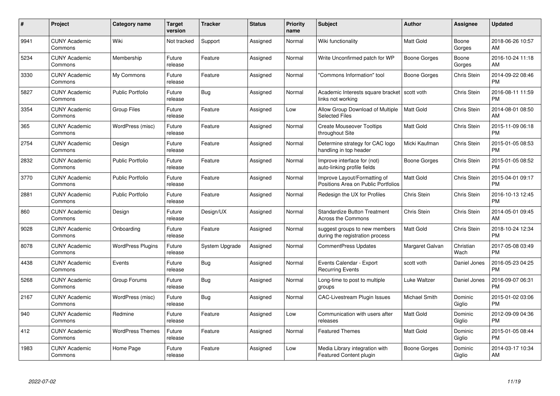| $\#$ | Project                         | <b>Category name</b>     | Target<br>version | <b>Tracker</b> | <b>Status</b> | Priority<br>name | <b>Subject</b>                                                      | <b>Author</b>    | <b>Assignee</b>    | <b>Updated</b>                |
|------|---------------------------------|--------------------------|-------------------|----------------|---------------|------------------|---------------------------------------------------------------------|------------------|--------------------|-------------------------------|
| 9941 | <b>CUNY Academic</b><br>Commons | Wiki                     | Not tracked       | Support        | Assigned      | Normal           | Wiki functionality                                                  | <b>Matt Gold</b> | Boone<br>Gorges    | 2018-06-26 10:57<br>AM        |
| 5234 | <b>CUNY Academic</b><br>Commons | Membership               | Future<br>release | Feature        | Assigned      | Normal           | Write Unconfirmed patch for WP                                      | Boone Gorges     | Boone<br>Gorges    | 2016-10-24 11:18<br>AM        |
| 3330 | <b>CUNY Academic</b><br>Commons | My Commons               | Future<br>release | Feature        | Assigned      | Normal           | "Commons Information" tool                                          | Boone Gorges     | Chris Stein        | 2014-09-22 08:46<br><b>PM</b> |
| 5827 | <b>CUNY Academic</b><br>Commons | <b>Public Portfolio</b>  | Future<br>release | Bug            | Assigned      | Normal           | Academic Interests square bracket<br>links not working              | scott voth       | Chris Stein        | 2016-08-11 11:59<br><b>PM</b> |
| 3354 | <b>CUNY Academic</b><br>Commons | <b>Group Files</b>       | Future<br>release | Feature        | Assigned      | Low              | Allow Group Download of Multiple<br><b>Selected Files</b>           | <b>Matt Gold</b> | Chris Stein        | 2014-08-01 08:50<br>AM        |
| 365  | <b>CUNY Academic</b><br>Commons | WordPress (misc)         | Future<br>release | Feature        | Assigned      | Normal           | <b>Create Mouseover Tooltips</b><br>throughout Site                 | <b>Matt Gold</b> | Chris Stein        | 2015-11-09 06:18<br><b>PM</b> |
| 2754 | <b>CUNY Academic</b><br>Commons | Design                   | Future<br>release | Feature        | Assigned      | Normal           | Determine strategy for CAC logo<br>handling in top header           | Micki Kaufman    | Chris Stein        | 2015-01-05 08:53<br><b>PM</b> |
| 2832 | <b>CUNY Academic</b><br>Commons | <b>Public Portfolio</b>  | Future<br>release | Feature        | Assigned      | Normal           | Improve interface for (not)<br>auto-linking profile fields          | Boone Gorges     | Chris Stein        | 2015-01-05 08:52<br><b>PM</b> |
| 3770 | <b>CUNY Academic</b><br>Commons | <b>Public Portfolio</b>  | Future<br>release | Feature        | Assigned      | Normal           | Improve Layout/Formatting of<br>Positions Area on Public Portfolios | <b>Matt Gold</b> | Chris Stein        | 2015-04-01 09:17<br><b>PM</b> |
| 2881 | <b>CUNY Academic</b><br>Commons | <b>Public Portfolio</b>  | Future<br>release | Feature        | Assigned      | Normal           | Redesign the UX for Profiles                                        | Chris Stein      | Chris Stein        | 2016-10-13 12:45<br><b>PM</b> |
| 860  | <b>CUNY Academic</b><br>Commons | Design                   | Future<br>release | Design/UX      | Assigned      | Normal           | <b>Standardize Button Treatment</b><br><b>Across the Commons</b>    | Chris Stein      | <b>Chris Stein</b> | 2014-05-01 09:45<br>AM        |
| 9028 | <b>CUNY Academic</b><br>Commons | Onboarding               | Future<br>release | Feature        | Assigned      | Normal           | suggest groups to new members<br>during the registration process    | Matt Gold        | Chris Stein        | 2018-10-24 12:34<br><b>PM</b> |
| 8078 | <b>CUNY Academic</b><br>Commons | <b>WordPress Plugins</b> | Future<br>release | System Upgrade | Assigned      | Normal           | CommentPress Updates                                                | Margaret Galvan  | Christian<br>Wach  | 2017-05-08 03:49<br><b>PM</b> |
| 4438 | <b>CUNY Academic</b><br>Commons | Events                   | Future<br>release | Bug            | Assigned      | Normal           | Events Calendar - Export<br><b>Recurring Events</b>                 | scott voth       | Daniel Jones       | 2016-05-23 04:25<br><b>PM</b> |
| 5268 | <b>CUNY Academic</b><br>Commons | Group Forums             | Future<br>release | Bug            | Assigned      | Normal           | Long-time to post to multiple<br>groups                             | Luke Waltzer     | Daniel Jones       | 2016-09-07 06:31<br><b>PM</b> |
| 2167 | <b>CUNY Academic</b><br>Commons | WordPress (misc)         | Future<br>release | <b>Bug</b>     | Assigned      | Normal           | <b>CAC-Livestream Plugin Issues</b>                                 | Michael Smith    | Dominic<br>Giglio  | 2015-01-02 03:06<br><b>PM</b> |
| 940  | <b>CUNY Academic</b><br>Commons | Redmine                  | Future<br>release | Feature        | Assigned      | Low              | Communication with users after<br>releases                          | Matt Gold        | Dominic<br>Giglio  | 2012-09-09 04:36<br><b>PM</b> |
| 412  | <b>CUNY Academic</b><br>Commons | <b>WordPress Themes</b>  | Future<br>release | Feature        | Assigned      | Normal           | <b>Featured Themes</b>                                              | Matt Gold        | Dominic<br>Giglio  | 2015-01-05 08:44<br><b>PM</b> |
| 1983 | <b>CUNY Academic</b><br>Commons | Home Page                | Future<br>release | Feature        | Assigned      | Low              | Media Library integration with<br><b>Featured Content plugin</b>    | Boone Gorges     | Dominic<br>Giglio  | 2014-03-17 10:34<br>AM        |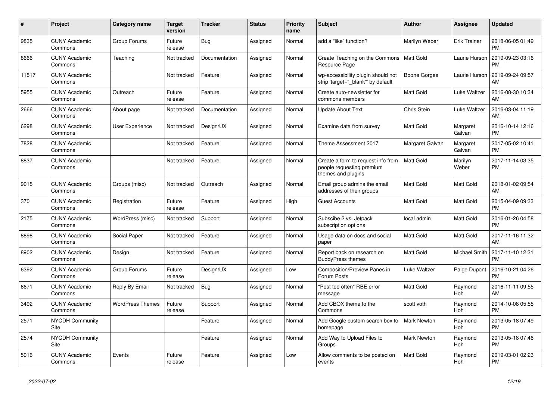| #     | <b>Project</b>                  | Category name           | <b>Target</b><br>version | <b>Tracker</b> | <b>Status</b> | <b>Priority</b><br>name | <b>Subject</b>                                                                        | <b>Author</b>      | Assignee            | <b>Updated</b>                |
|-------|---------------------------------|-------------------------|--------------------------|----------------|---------------|-------------------------|---------------------------------------------------------------------------------------|--------------------|---------------------|-------------------------------|
| 9835  | <b>CUNY Academic</b><br>Commons | Group Forums            | Future<br>release        | Bug            | Assigned      | Normal                  | add a "like" function?                                                                | Marilyn Weber      | <b>Erik Trainer</b> | 2018-06-05 01:49<br><b>PM</b> |
| 8666  | <b>CUNY Academic</b><br>Commons | Teaching                | Not tracked              | Documentation  | Assigned      | Normal                  | Create Teaching on the Commons<br>Resource Page                                       | l Matt Gold        | Laurie Hurson       | 2019-09-23 03:16<br><b>PM</b> |
| 11517 | <b>CUNY Academic</b><br>Commons |                         | Not tracked              | Feature        | Assigned      | Normal                  | wp-accessibility plugin should not<br>strip 'target=" blank" by default               | Boone Gorges       | Laurie Hurson       | 2019-09-24 09:57<br>AM        |
| 5955  | <b>CUNY Academic</b><br>Commons | Outreach                | Future<br>release        | Feature        | Assigned      | Normal                  | Create auto-newsletter for<br>commons members                                         | <b>Matt Gold</b>   | Luke Waltzer        | 2016-08-30 10:34<br>AM        |
| 2666  | <b>CUNY Academic</b><br>Commons | About page              | Not tracked              | Documentation  | Assigned      | Normal                  | <b>Update About Text</b>                                                              | Chris Stein        | Luke Waltzer        | 2016-03-04 11:19<br>AM        |
| 6298  | <b>CUNY Academic</b><br>Commons | User Experience         | Not tracked              | Design/UX      | Assigned      | Normal                  | Examine data from survey                                                              | Matt Gold          | Margaret<br>Galvan  | 2016-10-14 12:16<br><b>PM</b> |
| 7828  | <b>CUNY Academic</b><br>Commons |                         | Not tracked              | Feature        | Assigned      | Normal                  | Theme Assessment 2017                                                                 | Margaret Galvan    | Margaret<br>Galvan  | 2017-05-02 10:41<br><b>PM</b> |
| 8837  | <b>CUNY Academic</b><br>Commons |                         | Not tracked              | Feature        | Assigned      | Normal                  | Create a form to request info from<br>people requesting premium<br>themes and plugins | <b>Matt Gold</b>   | Marilyn<br>Weber    | 2017-11-14 03:35<br><b>PM</b> |
| 9015  | <b>CUNY Academic</b><br>Commons | Groups (misc)           | Not tracked              | Outreach       | Assigned      | Normal                  | Email group admins the email<br>addresses of their groups                             | <b>Matt Gold</b>   | Matt Gold           | 2018-01-02 09:54<br>AM        |
| 370   | <b>CUNY Academic</b><br>Commons | Registration            | Future<br>release        | Feature        | Assigned      | High                    | <b>Guest Accounts</b>                                                                 | <b>Matt Gold</b>   | Matt Gold           | 2015-04-09 09:33<br><b>PM</b> |
| 2175  | <b>CUNY Academic</b><br>Commons | WordPress (misc)        | Not tracked              | Support        | Assigned      | Normal                  | Subscibe 2 vs. Jetpack<br>subscription options                                        | local admin        | Matt Gold           | 2016-01-26 04:58<br><b>PM</b> |
| 8898  | <b>CUNY Academic</b><br>Commons | Social Paper            | Not tracked              | Feature        | Assigned      | Normal                  | Usage data on docs and social<br>paper                                                | <b>Matt Gold</b>   | Matt Gold           | 2017-11-16 11:32<br>AM        |
| 8902  | <b>CUNY Academic</b><br>Commons | Design                  | Not tracked              | Feature        | Assigned      | Normal                  | Report back on research on<br><b>BuddyPress themes</b>                                | <b>Matt Gold</b>   | Michael Smith       | 2017-11-10 12:31<br><b>PM</b> |
| 6392  | <b>CUNY Academic</b><br>Commons | Group Forums            | Future<br>release        | Design/UX      | Assigned      | Low                     | Composition/Preview Panes in<br>Forum Posts                                           | Luke Waltzer       | Paige Dupont        | 2016-10-21 04:26<br><b>PM</b> |
| 6671  | <b>CUNY Academic</b><br>Commons | Reply By Email          | Not tracked              | Bug            | Assigned      | Normal                  | "Post too often" RBE error<br>message                                                 | Matt Gold          | Raymond<br>Hoh      | 2016-11-11 09:55<br>AM        |
| 3492  | <b>CUNY Academic</b><br>Commons | <b>WordPress Themes</b> | Future<br>release        | Support        | Assigned      | Normal                  | Add CBOX theme to the<br>Commons                                                      | scott voth         | Raymond<br>Hoh      | 2014-10-08 05:55<br><b>PM</b> |
| 2571  | <b>NYCDH Community</b><br>Site  |                         |                          | Feature        | Assigned      | Normal                  | Add Google custom search box to<br>homepage                                           | <b>Mark Newton</b> | Raymond<br>Hoh      | 2013-05-18 07:49<br><b>PM</b> |
| 2574  | <b>NYCDH Community</b><br>Site  |                         |                          | Feature        | Assigned      | Normal                  | Add Way to Upload Files to<br>Groups                                                  | <b>Mark Newton</b> | Raymond<br>Hoh      | 2013-05-18 07:46<br><b>PM</b> |
| 5016  | <b>CUNY Academic</b><br>Commons | Events                  | Future<br>release        | Feature        | Assigned      | Low                     | Allow comments to be posted on<br>events                                              | <b>Matt Gold</b>   | Raymond<br>Hoh      | 2019-03-01 02:23<br><b>PM</b> |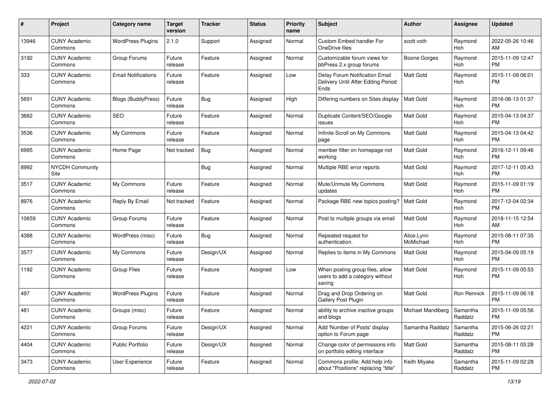| #     | Project                         | <b>Category name</b>       | <b>Target</b><br>version | <b>Tracker</b> | <b>Status</b> | Priority<br>name | <b>Subject</b>                                                                | <b>Author</b>           | <b>Assignee</b>     | <b>Updated</b>                |
|-------|---------------------------------|----------------------------|--------------------------|----------------|---------------|------------------|-------------------------------------------------------------------------------|-------------------------|---------------------|-------------------------------|
| 13946 | <b>CUNY Academic</b><br>Commons | <b>WordPress Plugins</b>   | 2.1.0                    | Support        | Assigned      | Normal           | Custom Embed handler For<br>OneDrive files                                    | scott voth              | Raymond<br>Hoh      | 2022-05-26 10:46<br>AM.       |
| 3192  | <b>CUNY Academic</b><br>Commons | Group Forums               | Future<br>release        | Feature        | Assigned      | Normal           | Customizable forum views for<br>bbPress 2.x group forums                      | Boone Gorges            | Raymond<br>Hoh      | 2015-11-09 12:47<br><b>PM</b> |
| 333   | <b>CUNY Academic</b><br>Commons | <b>Email Notifications</b> | Future<br>release        | Feature        | Assigned      | Low              | Delay Forum Notification Email<br>Delivery Until After Editing Period<br>Ends | Matt Gold               | Raymond<br>Hoh      | 2015-11-09 06:01<br><b>PM</b> |
| 5691  | <b>CUNY Academic</b><br>Commons | <b>Blogs (BuddyPress)</b>  | Future<br>release        | Bug            | Assigned      | High             | Differing numbers on Sites display                                            | Matt Gold               | Raymond<br>Hoh      | 2016-06-13 01:37<br>PM.       |
| 3662  | <b>CUNY Academic</b><br>Commons | <b>SEO</b>                 | Future<br>release        | Feature        | Assigned      | Normal           | Duplicate Content/SEO/Google<br>issues                                        | <b>Matt Gold</b>        | Raymond<br>Hoh      | 2015-04-13 04:37<br><b>PM</b> |
| 3536  | <b>CUNY Academic</b><br>Commons | My Commons                 | Future<br>release        | Feature        | Assigned      | Normal           | Infinite Scroll on My Commons<br>page                                         | <b>Matt Gold</b>        | Raymond<br>Hoh      | 2015-04-13 04:42<br><b>PM</b> |
| 6995  | <b>CUNY Academic</b><br>Commons | Home Page                  | Not tracked              | Bug            | Assigned      | Normal           | member filter on homepage not<br>working                                      | <b>Matt Gold</b>        | Raymond<br>Hoh      | 2016-12-11 09:46<br><b>PM</b> |
| 8992  | <b>NYCDH Community</b><br>Site  |                            |                          | Bug            | Assigned      | Normal           | Multiple RBE error reports                                                    | Matt Gold               | Raymond<br>Hoh      | 2017-12-11 05:43<br><b>PM</b> |
| 3517  | <b>CUNY Academic</b><br>Commons | My Commons                 | Future<br>release        | Feature        | Assigned      | Normal           | Mute/Unmute My Commons<br>updates                                             | <b>Matt Gold</b>        | Raymond<br>Hoh      | 2015-11-09 01:19<br>PM.       |
| 8976  | <b>CUNY Academic</b><br>Commons | Reply By Email             | Not tracked              | Feature        | Assigned      | Normal           | Package RBE new topics posting?                                               | <b>Matt Gold</b>        | Raymond<br>Hoh      | 2017-12-04 02:34<br><b>PM</b> |
| 10659 | <b>CUNY Academic</b><br>Commons | Group Forums               | Future<br>release        | Feature        | Assigned      | Normal           | Post to multiple groups via email                                             | Matt Gold               | Raymond<br>Hoh      | 2018-11-15 12:54<br>AM        |
| 4388  | <b>CUNY Academic</b><br>Commons | WordPress (misc)           | Future<br>release        | Bug            | Assigned      | Normal           | Repeated request for<br>authentication.                                       | Alice.Lynn<br>McMichael | Raymond<br>Hoh      | 2015-08-11 07:35<br>PM.       |
| 3577  | <b>CUNY Academic</b><br>Commons | My Commons                 | Future<br>release        | Design/UX      | Assigned      | Normal           | Replies to items in My Commons                                                | Matt Gold               | Raymond<br>Hoh      | 2015-04-09 05:19<br><b>PM</b> |
| 1192  | <b>CUNY Academic</b><br>Commons | <b>Group Files</b>         | Future<br>release        | Feature        | Assigned      | Low              | When posting group files, allow<br>users to add a category without<br>saving  | Matt Gold               | Raymond<br>Hoh      | 2015-11-09 05:53<br><b>PM</b> |
| 497   | <b>CUNY Academic</b><br>Commons | <b>WordPress Plugins</b>   | Future<br>release        | Feature        | Assigned      | Normal           | Drag and Drop Ordering on<br>Gallery Post Plugin                              | Matt Gold               | Ron Rennick         | 2015-11-09 06:18<br><b>PM</b> |
| 481   | <b>CUNY Academic</b><br>Commons | Groups (misc)              | Future<br>release        | Feature        | Assigned      | Normal           | ability to archive inactive groups<br>and blogs                               | Michael Mandiberg       | Samantha<br>Raddatz | 2015-11-09 05:56<br>PM        |
| 4221  | <b>CUNY Academic</b><br>Commons | Group Forums               | Future<br>release        | Design/UX      | Assigned      | Normal           | Add 'Number of Posts' display<br>option to Forum page                         | Samantha Raddatz        | Samantha<br>Raddatz | 2015-06-26 02:21<br>PM        |
| 4404  | <b>CUNY Academic</b><br>Commons | Public Portfolio           | Future<br>release        | Design/UX      | Assigned      | Normal           | Change color of permissions info<br>on portfolio editing interface            | Matt Gold               | Samantha<br>Raddatz | 2015-08-11 05:28<br><b>PM</b> |
| 3473  | <b>CUNY Academic</b><br>Commons | User Experience            | Future<br>release        | Feature        | Assigned      | Normal           | Commons profile: Add help info<br>about "Positions" replacing "title"         | Keith Miyake            | Samantha<br>Raddatz | 2015-11-09 02:28<br><b>PM</b> |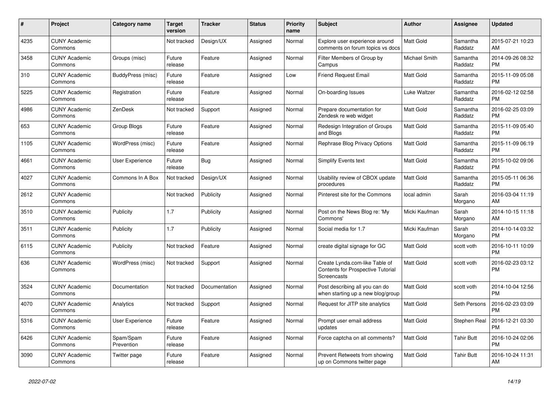| #    | <b>Project</b>                  | <b>Category name</b>    | <b>Target</b><br>version | <b>Tracker</b> | <b>Status</b> | Priority<br>name | <b>Subject</b>                                                                            | <b>Author</b>    | Assignee            | <b>Updated</b>                |
|------|---------------------------------|-------------------------|--------------------------|----------------|---------------|------------------|-------------------------------------------------------------------------------------------|------------------|---------------------|-------------------------------|
| 4235 | <b>CUNY Academic</b><br>Commons |                         | Not tracked              | Design/UX      | Assigned      | Normal           | Explore user experience around<br>comments on forum topics vs docs                        | <b>Matt Gold</b> | Samantha<br>Raddatz | 2015-07-21 10:23<br>AM        |
| 3458 | <b>CUNY Academic</b><br>Commons | Groups (misc)           | Future<br>release        | Feature        | Assigned      | Normal           | Filter Members of Group by<br>Campus                                                      | Michael Smith    | Samantha<br>Raddatz | 2014-09-26 08:32<br><b>PM</b> |
| 310  | <b>CUNY Academic</b><br>Commons | BuddyPress (misc)       | Future<br>release        | Feature        | Assigned      | Low              | <b>Friend Request Email</b>                                                               | Matt Gold        | Samantha<br>Raddatz | 2015-11-09 05:08<br><b>PM</b> |
| 5225 | <b>CUNY Academic</b><br>Commons | Registration            | Future<br>release        | Feature        | Assigned      | Normal           | On-boarding Issues                                                                        | Luke Waltzer     | Samantha<br>Raddatz | 2016-02-12 02:58<br><b>PM</b> |
| 4986 | <b>CUNY Academic</b><br>Commons | ZenDesk                 | Not tracked              | Support        | Assigned      | Normal           | Prepare documentation for<br>Zendesk re web widget                                        | Matt Gold        | Samantha<br>Raddatz | 2016-02-25 03:09<br><b>PM</b> |
| 653  | <b>CUNY Academic</b><br>Commons | Group Blogs             | Future<br>release        | Feature        | Assigned      | Normal           | Redesign Integration of Groups<br>and Blogs                                               | Matt Gold        | Samantha<br>Raddatz | 2015-11-09 05:40<br><b>PM</b> |
| 1105 | <b>CUNY Academic</b><br>Commons | WordPress (misc)        | Future<br>release        | Feature        | Assigned      | Normal           | Rephrase Blog Privacy Options                                                             | <b>Matt Gold</b> | Samantha<br>Raddatz | 2015-11-09 06:19<br><b>PM</b> |
| 4661 | <b>CUNY Academic</b><br>Commons | User Experience         | Future<br>release        | Bug            | Assigned      | Normal           | Simplify Events text                                                                      | <b>Matt Gold</b> | Samantha<br>Raddatz | 2015-10-02 09:06<br><b>PM</b> |
| 4027 | <b>CUNY Academic</b><br>Commons | Commons In A Box        | Not tracked              | Design/UX      | Assigned      | Normal           | Usability review of CBOX update<br>procedures                                             | Matt Gold        | Samantha<br>Raddatz | 2015-05-11 06:36<br><b>PM</b> |
| 2612 | <b>CUNY Academic</b><br>Commons |                         | Not tracked              | Publicity      | Assigned      | Normal           | Pinterest site for the Commons                                                            | local admin      | Sarah<br>Morgano    | 2016-03-04 11:19<br>AM        |
| 3510 | <b>CUNY Academic</b><br>Commons | Publicity               | 1.7                      | Publicity      | Assigned      | Normal           | Post on the News Blog re: 'My<br>Commons'                                                 | Micki Kaufman    | Sarah<br>Morgano    | 2014-10-15 11:18<br>AM        |
| 3511 | <b>CUNY Academic</b><br>Commons | Publicity               | 1.7                      | Publicity      | Assigned      | Normal           | Social media for 1.7                                                                      | Micki Kaufman    | Sarah<br>Morgano    | 2014-10-14 03:32<br><b>PM</b> |
| 6115 | <b>CUNY Academic</b><br>Commons | Publicity               | Not tracked              | Feature        | Assigned      | Normal           | create digital signage for GC                                                             | Matt Gold        | scott voth          | 2016-10-11 10:09<br><b>PM</b> |
| 636  | <b>CUNY Academic</b><br>Commons | WordPress (misc)        | Not tracked              | Support        | Assigned      | Normal           | Create Lynda.com-like Table of<br><b>Contents for Prospective Tutorial</b><br>Screencasts | <b>Matt Gold</b> | scott voth          | 2016-02-23 03:12<br><b>PM</b> |
| 3524 | <b>CUNY Academic</b><br>Commons | Documentation           | Not tracked              | Documentation  | Assigned      | Normal           | Post describing all you can do<br>when starting up a new blog/group                       | Matt Gold        | scott voth          | 2014-10-04 12:56<br><b>PM</b> |
| 4070 | <b>CUNY Academic</b><br>Commons | Analytics               | Not tracked              | Support        | Assigned      | Normal           | Request for JITP site analytics                                                           | Matt Gold        | Seth Persons        | 2016-02-23 03:09<br><b>PM</b> |
| 5316 | <b>CUNY Academic</b><br>Commons | User Experience         | Future<br>release        | Feature        | Assigned      | Normal           | Prompt user email address<br>updates                                                      | <b>Matt Gold</b> | Stephen Real        | 2016-12-21 03:30<br><b>PM</b> |
| 6426 | <b>CUNY Academic</b><br>Commons | Spam/Spam<br>Prevention | Future<br>release        | Feature        | Assigned      | Normal           | Force captcha on all comments?                                                            | <b>Matt Gold</b> | <b>Tahir Butt</b>   | 2016-10-24 02:06<br><b>PM</b> |
| 3090 | <b>CUNY Academic</b><br>Commons | Twitter page            | Future<br>release        | Feature        | Assigned      | Normal           | Prevent Retweets from showing<br>up on Commons twitter page                               | Matt Gold        | Tahir Butt          | 2016-10-24 11:31<br>AM        |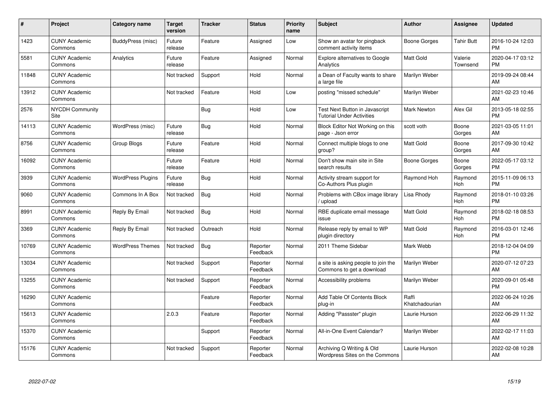| #     | <b>Project</b>                  | <b>Category name</b>     | <b>Target</b><br>version | <b>Tracker</b> | <b>Status</b>        | <b>Priority</b><br>name | <b>Subject</b>                                                     | <b>Author</b>           | Assignee            | <b>Updated</b>                |
|-------|---------------------------------|--------------------------|--------------------------|----------------|----------------------|-------------------------|--------------------------------------------------------------------|-------------------------|---------------------|-------------------------------|
| 1423  | <b>CUNY Academic</b><br>Commons | BuddyPress (misc)        | Future<br>release        | Feature        | Assigned             | Low                     | Show an avatar for pingback<br>comment activity items              | Boone Gorges            | <b>Tahir Butt</b>   | 2016-10-24 12:03<br><b>PM</b> |
| 5581  | <b>CUNY Academic</b><br>Commons | Analytics                | Future<br>release        | Feature        | Assigned             | Normal                  | <b>Explore alternatives to Google</b><br>Analytics                 | <b>Matt Gold</b>        | Valerie<br>Townsend | 2020-04-17 03:12<br><b>PM</b> |
| 11848 | <b>CUNY Academic</b><br>Commons |                          | Not tracked              | Support        | Hold                 | Normal                  | a Dean of Faculty wants to share<br>a large file                   | Marilyn Weber           |                     | 2019-09-24 08:44<br>AM        |
| 13912 | <b>CUNY Academic</b><br>Commons |                          | Not tracked              | Feature        | Hold                 | Low                     | posting "missed schedule"                                          | Marilyn Weber           |                     | 2021-02-23 10:46<br>AM        |
| 2576  | <b>NYCDH Community</b><br>Site  |                          |                          | Bug            | Hold                 | Low                     | Test Next Button in Javascript<br><b>Tutorial Under Activities</b> | <b>Mark Newton</b>      | Alex Gil            | 2013-05-18 02:55<br><b>PM</b> |
| 14113 | <b>CUNY Academic</b><br>Commons | WordPress (misc)         | Future<br>release        | Bug            | Hold                 | Normal                  | Block Editor Not Working on this<br>page - Json error              | scott voth              | Boone<br>Gorges     | 2021-03-05 11:01<br>AM        |
| 8756  | <b>CUNY Academic</b><br>Commons | Group Blogs              | Future<br>release        | Feature        | Hold                 | Normal                  | Connect multiple blogs to one<br>group?                            | <b>Matt Gold</b>        | Boone<br>Gorges     | 2017-09-30 10:42<br>AM        |
| 16092 | <b>CUNY Academic</b><br>Commons |                          | Future<br>release        | Feature        | Hold                 | Normal                  | Don't show main site in Site<br>search results                     | Boone Gorges            | Boone<br>Gorges     | 2022-05-17 03:12<br><b>PM</b> |
| 3939  | <b>CUNY Academic</b><br>Commons | <b>WordPress Plugins</b> | Future<br>release        | Bug            | Hold                 | Normal                  | Activity stream support for<br>Co-Authors Plus plugin              | Raymond Hoh             | Raymond<br>Hoh      | 2015-11-09 06:13<br><b>PM</b> |
| 9060  | <b>CUNY Academic</b><br>Commons | Commons In A Box         | Not tracked              | Bug            | Hold                 | Normal                  | Problems with CBox image library<br>upload                         | Lisa Rhody              | Raymond<br>Hoh      | 2018-01-10 03:26<br><b>PM</b> |
| 8991  | <b>CUNY Academic</b><br>Commons | Reply By Email           | Not tracked              | <b>Bug</b>     | Hold                 | Normal                  | RBE duplicate email message<br>issue                               | <b>Matt Gold</b>        | Raymond<br>Hoh      | 2018-02-18 08:53<br><b>PM</b> |
| 3369  | <b>CUNY Academic</b><br>Commons | Reply By Email           | Not tracked              | Outreach       | Hold                 | Normal                  | Release reply by email to WP<br>plugin directory                   | <b>Matt Gold</b>        | Raymond<br>Hoh      | 2016-03-01 12:46<br><b>PM</b> |
| 10769 | <b>CUNY Academic</b><br>Commons | <b>WordPress Themes</b>  | Not tracked              | Bug            | Reporter<br>Feedback | Normal                  | 2011 Theme Sidebar                                                 | Mark Webb               |                     | 2018-12-04 04:09<br><b>PM</b> |
| 13034 | <b>CUNY Academic</b><br>Commons |                          | Not tracked              | Support        | Reporter<br>Feedback | Normal                  | a site is asking people to join the<br>Commons to get a download   | Marilyn Weber           |                     | 2020-07-12 07:23<br>AM        |
| 13255 | <b>CUNY Academic</b><br>Commons |                          | Not tracked              | Support        | Reporter<br>Feedback | Normal                  | Accessibility problems                                             | Marilyn Weber           |                     | 2020-09-01 05:48<br><b>PM</b> |
| 16290 | <b>CUNY Academic</b><br>Commons |                          |                          | Feature        | Reporter<br>Feedback | Normal                  | Add Table Of Contents Block<br>plug-in                             | Raffi<br>Khatchadourian |                     | 2022-06-24 10:26<br>AM        |
| 15613 | <b>CUNY Academic</b><br>Commons |                          | 2.0.3                    | Feature        | Reporter<br>Feedback | Normal                  | Adding "Passster" plugin                                           | Laurie Hurson           |                     | 2022-06-29 11:32<br>AM        |
| 15370 | <b>CUNY Academic</b><br>Commons |                          |                          | Support        | Reporter<br>Feedback | Normal                  | All-in-One Event Calendar?                                         | Marilyn Weber           |                     | 2022-02-17 11:03<br>AM        |
| 15176 | <b>CUNY Academic</b><br>Commons |                          | Not tracked              | Support        | Reporter<br>Feedback | Normal                  | Archiving Q Writing & Old<br>Wordpress Sites on the Commons        | Laurie Hurson           |                     | 2022-02-08 10:28<br>AM        |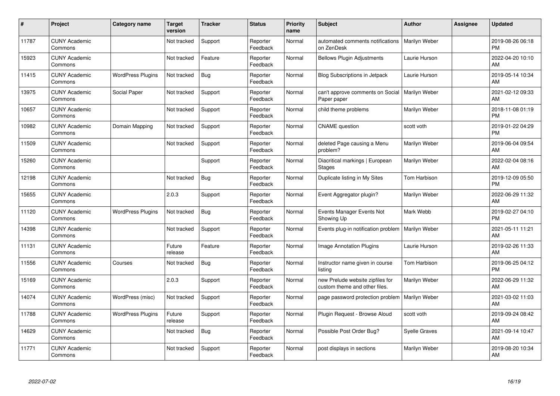| #     | Project                         | <b>Category name</b>     | <b>Target</b><br>version | <b>Tracker</b> | <b>Status</b>        | <b>Priority</b><br>name | <b>Subject</b>                                                    | <b>Author</b>        | Assignee | <b>Updated</b>                |
|-------|---------------------------------|--------------------------|--------------------------|----------------|----------------------|-------------------------|-------------------------------------------------------------------|----------------------|----------|-------------------------------|
| 11787 | <b>CUNY Academic</b><br>Commons |                          | Not tracked              | Support        | Reporter<br>Feedback | Normal                  | automated comments notifications<br>on ZenDesk                    | Marilyn Weber        |          | 2019-08-26 06:18<br><b>PM</b> |
| 15923 | <b>CUNY Academic</b><br>Commons |                          | Not tracked              | Feature        | Reporter<br>Feedback | Normal                  | <b>Bellows Plugin Adjustments</b>                                 | Laurie Hurson        |          | 2022-04-20 10:10<br>AM        |
| 11415 | <b>CUNY Academic</b><br>Commons | <b>WordPress Plugins</b> | Not tracked              | Bug            | Reporter<br>Feedback | Normal                  | Blog Subscriptions in Jetpack                                     | Laurie Hurson        |          | 2019-05-14 10:34<br>AM        |
| 13975 | <b>CUNY Academic</b><br>Commons | Social Paper             | Not tracked              | Support        | Reporter<br>Feedback | Normal                  | can't approve comments on Social<br>Paper paper                   | Marilyn Weber        |          | 2021-02-12 09:33<br>AM        |
| 10657 | <b>CUNY Academic</b><br>Commons |                          | Not tracked              | Support        | Reporter<br>Feedback | Normal                  | child theme problems                                              | Marilyn Weber        |          | 2018-11-08 01:19<br><b>PM</b> |
| 10982 | <b>CUNY Academic</b><br>Commons | Domain Mapping           | Not tracked              | Support        | Reporter<br>Feedback | Normal                  | <b>CNAME</b> question                                             | scott voth           |          | 2019-01-22 04:29<br><b>PM</b> |
| 11509 | <b>CUNY Academic</b><br>Commons |                          | Not tracked              | Support        | Reporter<br>Feedback | Normal                  | deleted Page causing a Menu<br>problem?                           | Marilyn Weber        |          | 2019-06-04 09:54<br>AM        |
| 15260 | <b>CUNY Academic</b><br>Commons |                          |                          | Support        | Reporter<br>Feedback | Normal                  | Diacritical markings   European<br><b>Stages</b>                  | Marilyn Weber        |          | 2022-02-04 08:16<br>AM        |
| 12198 | <b>CUNY Academic</b><br>Commons |                          | Not tracked              | <b>Bug</b>     | Reporter<br>Feedback | Normal                  | Duplicate listing in My Sites                                     | Tom Harbison         |          | 2019-12-09 05:50<br><b>PM</b> |
| 15655 | <b>CUNY Academic</b><br>Commons |                          | 2.0.3                    | Support        | Reporter<br>Feedback | Normal                  | Event Aggregator plugin?                                          | Marilyn Weber        |          | 2022-06-29 11:32<br>AM        |
| 11120 | <b>CUNY Academic</b><br>Commons | <b>WordPress Plugins</b> | Not tracked              | Bug            | Reporter<br>Feedback | Normal                  | Events Manager Events Not<br>Showing Up                           | Mark Webb            |          | 2019-02-27 04:10<br><b>PM</b> |
| 14398 | <b>CUNY Academic</b><br>Commons |                          | Not tracked              | Support        | Reporter<br>Feedback | Normal                  | Events plug-in notification problem                               | Marilyn Weber        |          | 2021-05-11 11:21<br>AM        |
| 11131 | <b>CUNY Academic</b><br>Commons |                          | Future<br>release        | Feature        | Reporter<br>Feedback | Normal                  | Image Annotation Plugins                                          | Laurie Hurson        |          | 2019-02-26 11:33<br><b>AM</b> |
| 11556 | <b>CUNY Academic</b><br>Commons | Courses                  | Not tracked              | Bug            | Reporter<br>Feedback | Normal                  | Instructor name given in course<br>listing                        | Tom Harbison         |          | 2019-06-25 04:12<br><b>PM</b> |
| 15169 | <b>CUNY Academic</b><br>Commons |                          | 2.0.3                    | Support        | Reporter<br>Feedback | Normal                  | new Prelude website zipfiles for<br>custom theme and other files. | Marilyn Weber        |          | 2022-06-29 11:32<br>AM        |
| 14074 | <b>CUNY Academic</b><br>Commons | WordPress (misc)         | Not tracked              | Support        | Reporter<br>Feedback | Normal                  | page password protection problem                                  | Marilyn Weber        |          | 2021-03-02 11:03<br><b>AM</b> |
| 11788 | <b>CUNY Academic</b><br>Commons | <b>WordPress Plugins</b> | Future<br>release        | Support        | Reporter<br>Feedback | Normal                  | Plugin Request - Browse Aloud                                     | scott voth           |          | 2019-09-24 08:42<br>AM        |
| 14629 | <b>CUNY Academic</b><br>Commons |                          | Not tracked              | Bug            | Reporter<br>Feedback | Normal                  | Possible Post Order Bug?                                          | <b>Syelle Graves</b> |          | 2021-09-14 10:47<br>AM        |
| 11771 | <b>CUNY Academic</b><br>Commons |                          | Not tracked              | Support        | Reporter<br>Feedback | Normal                  | post displays in sections                                         | Marilyn Weber        |          | 2019-08-20 10:34<br>AM        |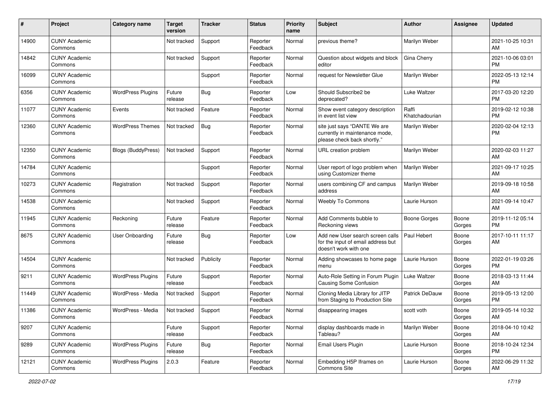| #     | Project                         | <b>Category name</b>      | Target<br>version | <b>Tracker</b> | <b>Status</b>        | <b>Priority</b><br>name | <b>Subject</b>                                                                                  | <b>Author</b>           | <b>Assignee</b> | <b>Updated</b>                |
|-------|---------------------------------|---------------------------|-------------------|----------------|----------------------|-------------------------|-------------------------------------------------------------------------------------------------|-------------------------|-----------------|-------------------------------|
| 14900 | <b>CUNY Academic</b><br>Commons |                           | Not tracked       | Support        | Reporter<br>Feedback | Normal                  | previous theme?                                                                                 | Marilyn Weber           |                 | 2021-10-25 10:31<br>AM        |
| 14842 | <b>CUNY Academic</b><br>Commons |                           | Not tracked       | Support        | Reporter<br>Feedback | Normal                  | Question about widgets and block<br>editor                                                      | Gina Cherry             |                 | 2021-10-06 03:01<br><b>PM</b> |
| 16099 | <b>CUNY Academic</b><br>Commons |                           |                   | Support        | Reporter<br>Feedback | Normal                  | request for Newsletter Glue                                                                     | Marilyn Weber           |                 | 2022-05-13 12:14<br><b>PM</b> |
| 6356  | <b>CUNY Academic</b><br>Commons | <b>WordPress Plugins</b>  | Future<br>release | Bug            | Reporter<br>Feedback | Low                     | Should Subscribe2 be<br>deprecated?                                                             | Luke Waltzer            |                 | 2017-03-20 12:20<br><b>PM</b> |
| 11077 | <b>CUNY Academic</b><br>Commons | Events                    | Not tracked       | Feature        | Reporter<br>Feedback | Normal                  | Show event category description<br>in event list view                                           | Raffi<br>Khatchadourian |                 | 2019-02-12 10:38<br><b>PM</b> |
| 12360 | <b>CUNY Academic</b><br>Commons | <b>WordPress Themes</b>   | Not tracked       | Bug            | Reporter<br>Feedback | Normal                  | site just says "DANTE We are<br>currently in maintenance mode,<br>please check back shortly."   | Marilyn Weber           |                 | 2020-02-04 12:13<br><b>PM</b> |
| 12350 | <b>CUNY Academic</b><br>Commons | <b>Blogs (BuddyPress)</b> | Not tracked       | Support        | Reporter<br>Feedback | Normal                  | URL creation problem                                                                            | Marilyn Weber           |                 | 2020-02-03 11:27<br>AM        |
| 14784 | <b>CUNY Academic</b><br>Commons |                           |                   | Support        | Reporter<br>Feedback | Normal                  | User report of logo problem when<br>using Customizer theme                                      | Marilyn Weber           |                 | 2021-09-17 10:25<br>AM        |
| 10273 | <b>CUNY Academic</b><br>Commons | Registration              | Not tracked       | Support        | Reporter<br>Feedback | Normal                  | users combining CF and campus<br>address                                                        | Marilyn Weber           |                 | 2019-09-18 10:58<br>AM        |
| 14538 | <b>CUNY Academic</b><br>Commons |                           | Not tracked       | Support        | Reporter<br>Feedback | Normal                  | Weebly To Commons                                                                               | Laurie Hurson           |                 | 2021-09-14 10:47<br>AM        |
| 11945 | <b>CUNY Academic</b><br>Commons | Reckoning                 | Future<br>release | Feature        | Reporter<br>Feedback | Normal                  | Add Comments bubble to<br>Reckoning views                                                       | Boone Gorges            | Boone<br>Gorges | 2019-11-12 05:14<br><b>PM</b> |
| 8675  | <b>CUNY Academic</b><br>Commons | <b>User Onboarding</b>    | Future<br>release | Bug            | Reporter<br>Feedback | Low                     | Add new User search screen calls<br>for the input of email address but<br>doesn't work with one | Paul Hebert             | Boone<br>Gorges | 2017-10-11 11:17<br>AM        |
| 14504 | <b>CUNY Academic</b><br>Commons |                           | Not tracked       | Publicity      | Reporter<br>Feedback | Normal                  | Adding showcases to home page<br>menu                                                           | Laurie Hurson           | Boone<br>Gorges | 2022-01-19 03:26<br><b>PM</b> |
| 9211  | <b>CUNY Academic</b><br>Commons | <b>WordPress Plugins</b>  | Future<br>release | Support        | Reporter<br>Feedback | Normal                  | Auto-Role Setting in Forum Plugin<br>Causing Some Confusion                                     | Luke Waltzer            | Boone<br>Gorges | 2018-03-13 11:44<br>AM        |
| 11449 | <b>CUNY Academic</b><br>Commons | WordPress - Media         | Not tracked       | Support        | Reporter<br>Feedback | Normal                  | Cloning Media Library for JITP<br>from Staging to Production Site                               | Patrick DeDauw          | Boone<br>Gorges | 2019-05-13 12:00<br><b>PM</b> |
| 11386 | <b>CUNY Academic</b><br>Commons | WordPress - Media         | Not tracked       | Support        | Reporter<br>Feedback | Normal                  | disappearing images                                                                             | scott voth              | Boone<br>Gorges | 2019-05-14 10:32<br>AM        |
| 9207  | <b>CUNY Academic</b><br>Commons |                           | Future<br>release | Support        | Reporter<br>Feedback | Normal                  | display dashboards made in<br>Tableau?                                                          | Marilyn Weber           | Boone<br>Gorges | 2018-04-10 10:42<br>AM        |
| 9289  | <b>CUNY Academic</b><br>Commons | <b>WordPress Plugins</b>  | Future<br>release | <b>Bug</b>     | Reporter<br>Feedback | Normal                  | Email Users Plugin                                                                              | Laurie Hurson           | Boone<br>Gorges | 2018-10-24 12:34<br><b>PM</b> |
| 12121 | <b>CUNY Academic</b><br>Commons | <b>WordPress Plugins</b>  | 2.0.3             | Feature        | Reporter<br>Feedback | Normal                  | Embedding H5P Iframes on<br>Commons Site                                                        | Laurie Hurson           | Boone<br>Gorges | 2022-06-29 11:32<br>AM        |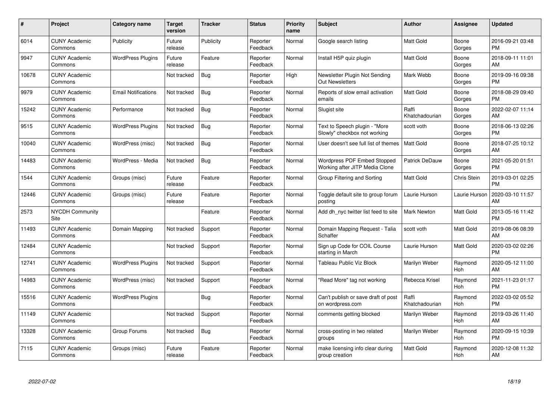| #     | Project                         | <b>Category name</b>       | Target<br>version | <b>Tracker</b> | <b>Status</b>        | Priority<br>name | <b>Subject</b>                                                       | <b>Author</b>           | <b>Assignee</b>    | <b>Updated</b>                |
|-------|---------------------------------|----------------------------|-------------------|----------------|----------------------|------------------|----------------------------------------------------------------------|-------------------------|--------------------|-------------------------------|
| 6014  | <b>CUNY Academic</b><br>Commons | Publicity                  | Future<br>release | Publicity      | Reporter<br>Feedback | Normal           | Google search listing                                                | <b>Matt Gold</b>        | Boone<br>Gorges    | 2016-09-21 03:48<br><b>PM</b> |
| 9947  | <b>CUNY Academic</b><br>Commons | <b>WordPress Plugins</b>   | Future<br>release | Feature        | Reporter<br>Feedback | Normal           | Install H5P quiz plugin                                              | <b>Matt Gold</b>        | Boone<br>Gorges    | 2018-09-11 11:01<br><b>AM</b> |
| 10678 | <b>CUNY Academic</b><br>Commons |                            | Not tracked       | Bug            | Reporter<br>Feedback | High             | Newsletter Plugin Not Sending<br><b>Out Newsletters</b>              | Mark Webb               | Boone<br>Gorges    | 2019-09-16 09:38<br><b>PM</b> |
| 9979  | <b>CUNY Academic</b><br>Commons | <b>Email Notifications</b> | Not tracked       | <b>Bug</b>     | Reporter<br>Feedback | Normal           | Reports of slow email activation<br>emails                           | <b>Matt Gold</b>        | Boone<br>Gorges    | 2018-08-29 09:40<br><b>PM</b> |
| 15242 | <b>CUNY Academic</b><br>Commons | Performance                | Not tracked       | Bug            | Reporter<br>Feedback | Normal           | Slugist site                                                         | Raffi<br>Khatchadourian | Boone<br>Gorges    | 2022-02-07 11:14<br><b>AM</b> |
| 9515  | <b>CUNY Academic</b><br>Commons | <b>WordPress Plugins</b>   | Not tracked       | Bug            | Reporter<br>Feedback | Normal           | Text to Speech plugin - "More<br>Slowly" checkbox not working        | scott voth              | Boone<br>Gorges    | 2018-06-13 02:26<br><b>PM</b> |
| 10040 | <b>CUNY Academic</b><br>Commons | WordPress (misc)           | Not tracked       | Bug            | Reporter<br>Feedback | Normal           | User doesn't see full list of themes                                 | <b>Matt Gold</b>        | Boone<br>Gorges    | 2018-07-25 10:12<br>AM        |
| 14483 | <b>CUNY Academic</b><br>Commons | WordPress - Media          | Not tracked       | Bug            | Reporter<br>Feedback | Normal           | <b>Wordpress PDF Embed Stopped</b><br>Working after JITP Media Clone | <b>Patrick DeDauw</b>   | Boone<br>Gorges    | 2021-05-20 01:51<br><b>PM</b> |
| 1544  | <b>CUNY Academic</b><br>Commons | Groups (misc)              | Future<br>release | Feature        | Reporter<br>Feedback | Normal           | Group Filtering and Sorting                                          | <b>Matt Gold</b>        | <b>Chris Stein</b> | 2019-03-01 02:25<br><b>PM</b> |
| 12446 | <b>CUNY Academic</b><br>Commons | Groups (misc)              | Future<br>release | Feature        | Reporter<br>Feedback | Normal           | Toggle default site to group forum<br>posting                        | Laurie Hurson           | Laurie Hurson      | 2020-03-10 11:57<br>AM        |
| 2573  | <b>NYCDH Community</b><br>Site  |                            |                   | Feature        | Reporter<br>Feedback | Normal           | Add dh nyc twitter list feed to site                                 | <b>Mark Newton</b>      | Matt Gold          | 2013-05-16 11:42<br><b>PM</b> |
| 11493 | <b>CUNY Academic</b><br>Commons | Domain Mapping             | Not tracked       | Support        | Reporter<br>Feedback | Normal           | Domain Mapping Request - Talia<br>Schaffer                           | scott voth              | Matt Gold          | 2019-08-06 08:39<br><b>AM</b> |
| 12484 | <b>CUNY Academic</b><br>Commons |                            | Not tracked       | Support        | Reporter<br>Feedback | Normal           | Sign up Code for COIL Course<br>starting in March                    | Laurie Hurson           | Matt Gold          | 2020-03-02 02:26<br><b>PM</b> |
| 12741 | <b>CUNY Academic</b><br>Commons | <b>WordPress Plugins</b>   | Not tracked       | Support        | Reporter<br>Feedback | Normal           | Tableau Public Viz Block                                             | Marilyn Weber           | Raymond<br>Hoh     | 2020-05-12 11:00<br>AM        |
| 14983 | <b>CUNY Academic</b><br>Commons | WordPress (misc)           | Not tracked       | Support        | Reporter<br>Feedback | Normal           | "Read More" tag not working                                          | Rebecca Krisel          | Raymond<br>Hoh     | 2021-11-23 01:17<br><b>PM</b> |
| 15516 | <b>CUNY Academic</b><br>Commons | <b>WordPress Plugins</b>   |                   | Bug            | Reporter<br>Feedback | Normal           | Can't publish or save draft of post<br>on wordpress.com              | Raffi<br>Khatchadourian | Raymond<br>Hoh     | 2022-03-02 05:52<br><b>PM</b> |
| 11149 | <b>CUNY Academic</b><br>Commons |                            | Not tracked       | Support        | Reporter<br>Feedback | Normal           | comments getting blocked                                             | Marilyn Weber           | Raymond<br>Hoh     | 2019-03-26 11:40<br>AM        |
| 13328 | <b>CUNY Academic</b><br>Commons | Group Forums               | Not tracked       | Bug            | Reporter<br>Feedback | Normal           | cross-posting in two related<br>groups                               | Marilyn Weber           | Raymond<br>Hoh     | 2020-09-15 10:39<br><b>PM</b> |
| 7115  | <b>CUNY Academic</b><br>Commons | Groups (misc)              | Future<br>release | Feature        | Reporter<br>Feedback | Normal           | make licensing info clear during<br>group creation                   | <b>Matt Gold</b>        | Raymond<br>Hoh     | 2020-12-08 11:32<br>AM        |